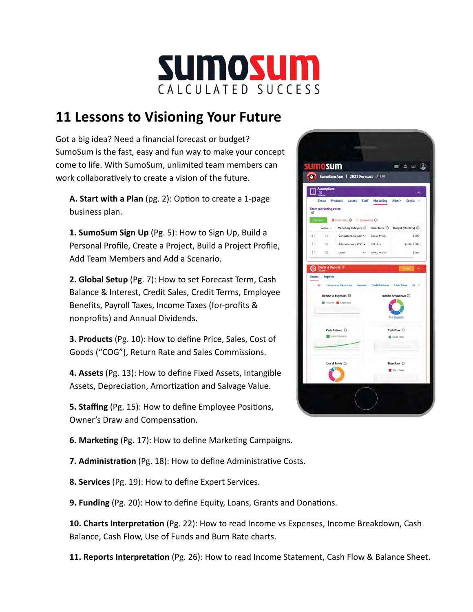

## **11 Lessons to Visioning Your Future**

 Got a big idea? Need a financial forecast or budget? SumoSum is the fast, easy and fun way to make your concept come to life. With SumoSum, unlimited team members can work collaboratively to create a vision of the future.

**A. Start with a Plan** (pg. 2): Option to create a 1-page business plan.

 **1. SumoSum Sign Up** (Pg. 5): How to Sign Up, Build a Personal Profile, Create a Project, Build a Project Profile, Add Team Members and Add a Scenario.

 **2. Global Setup** (Pg. 7): How to set Forecast Term, Cash Balance & Interest, Credit Sales, Credit Terms, Employee Benefits, Payroll Taxes, Income Taxes (for-profits & nonprofits) and Annual Dividends.

 **3. Products** (Pg. 10): How to define Price, Sales, Cost of Goods ("COG"), Return Rate and Sales Commissions.

 **4. Assets** (Pg. 13): How to define Fixed Assets, Intangible Assets, Depreciation, Amortization and Salvage Value.

**5. Staffing** (Pg. 15): How to define Employee Positions, Owner's Draw and Compensation.



**6. Marketing** (Pg. 17): How to define Marketing Campaigns.

**7. Administration** (Pg. 18): How to define Administrative Costs.

 **8. Services** (Pg. 19): How to define Expert Services.

**9. Funding** (Pg. 20): How to define Equity, Loans, Grants and Donations.

**10. Charts Interpretation** (Pg. 22): How to read Income vs Expenses, Income Breakdown, Cash Balance, Cash Flow, Use of Funds and Burn Rate charts.

**11. Reports Interpretation** (Pg. 26): How to read Income Statement, Cash Flow & Balance Sheet.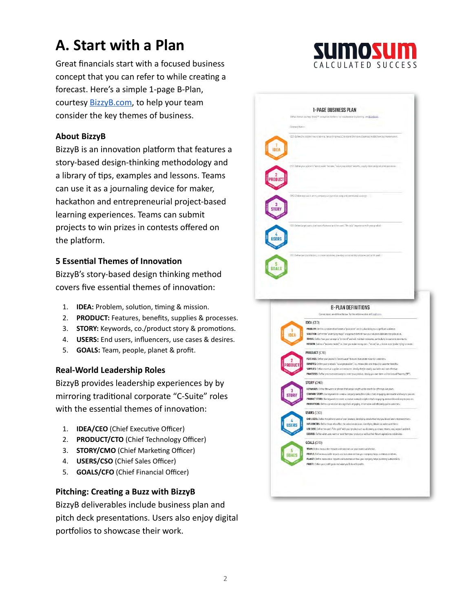## **A. Start with a Plan**

 Great financials start with a focused business concept that you can refer to while creating a forecast. Here's a simple 1-page B-Plan, courtesy [BizzyB.com,](https://bizzyb.com/) to help your team consider the key themes of business.

#### **About BizzyB**

BizzyB is an innovation platform that features a story-based design-thinking methodology and a library of tips, examples and lessons. Teams can use it as a journaling device for maker, hackathon and entrepreneurial project-based learning experiences. Teams can submit projects to win prizes in contests offered on the platform.

#### **5 Essential Themes of Innovation**

 BizzyB's story-based design thinking method covers five essential themes of innovation:

- 1. **IDEA:** Problem, solution, timing & mission.
- 2. **PRODUCT:** Features, benefits, supplies & processes.
- 3. **STORY:** Keywords, co./product story & promotions.
- 4. **USERS:** End users, influencers, use cases & desires.
- 5. **GOALS:** Team, people, planet & profit.

#### **Real-World Leadership Roles**

 BizzyB provides leadership experiences by by mirroring traditional corporate "C-Suite" roles with the essential themes of innovation:

- 1. **IDEA/CEO** (Chief Executive Officer)
- 2. **PRODUCT/CTO** (Chief Technology Officer)
- 3. **STORY/CMO** (Chief Marketing Officer)
- 4. **USERS/CSO** (Chief Sales Officer)
- 5. **GOALS/CFO** (Chief Financial Officer)

#### **Pitching: Creating a Buzz with BizzyB**

 BizzyB deliverables include business plan and pitch deck presentations. Users also enjoy digital portfolios to showcase their work.



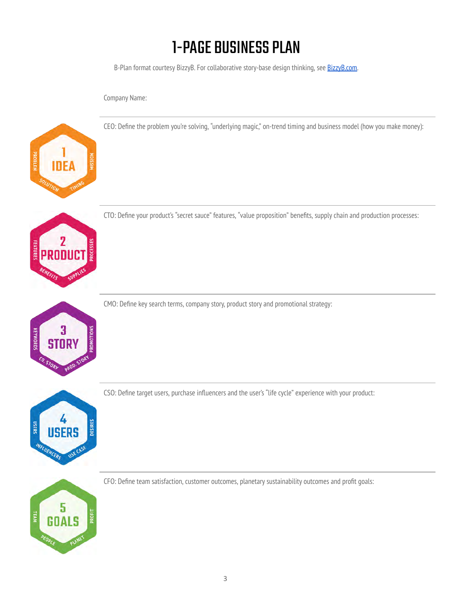# 1-PAGE BUSINESS PLAN

B-Plan format courtesy BizzyB. For collaborative story-base design thinking, see [BizzyB.com.](https://bizzyb.com/)

CEO: Define the problem you're solving, "underlying magic," on-trend timing and business model (how you make money):

Company Name:



CTO: Define your product's "secret sauce" features, "value proposition" benefits, supply chain and production processes:



CMO: Define key search terms, company story, product story and promotional strategy:



CSO: Define target users, purchase influencers and the user's "life cycle" experience with your product:



CFO: Define team satisfaction, customer outcomes, planetary sustainability outcomes and profit goals: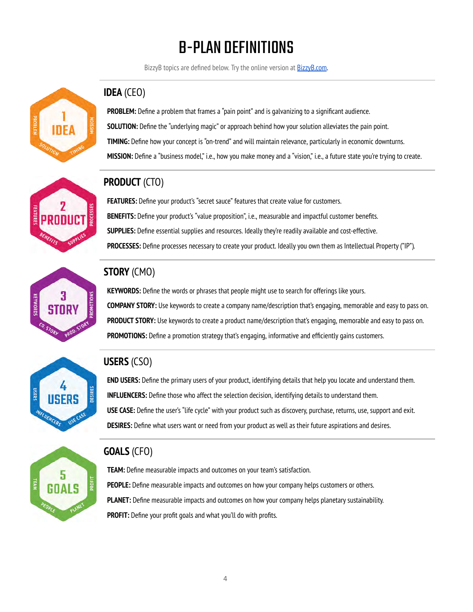# B-PLAN DEFINITIONS

BizzyB topics are defined below. Try the online version at [BizzyB.com](https://bizzyb.com/).



### **IDEA** (CEO)

 **PROBLEM:** Define a problem that frames a "pain point" and is galvanizing to a significant audience.  **SOLUTION:** Define the "underlying magic" or approach behind how your solution alleviates the pain point.  **TIMING:** Define how your concept is "on-trend" and will maintain relevance, particularly in economic downturns.  **MISSION:** Define a "business model," i.e., how you make money and a "vision," i.e., a future state you're trying to create.



### **PRODUCT** (CTO)

 **FEATURES:** Define your product's "secret sauce" features that create value for customers.  **BENEFITS:** Define your product's "value proposition", i.e., measurable and impactful customer benefits.  **SUPPLIES:** Define essential supplies and resources. Ideally they're readily available and cost-effective.  **PROCESSES:** Define processes necessary to create your product. Ideally you own them as Intellectual Property ("IP").



### **STORY** (CMO)

 **KEYWORDS:** Define the words or phrases that people might use to search for offerings like yours.  **COMPANY STORY:** Use keywords to create a company name/description that's engaging, memorable and easy to pass on.  **PRODUCT STORY:** Use keywords to create a product name/description that's engaging, memorable and easy to pass on.  **PROMOTIONS:** Define a promotion strategy that's engaging, informative and efficiently gains customers.



### **USERS** (CSO)

 **END USERS:** Define the primary users of your product, identifying details that help you locate and understand them.  **INFLUENCERS:** Define those who affect the selection decision, identifying details to understand them.  **USE CASE:** Define the user's "life cycle" with your product such as discovery, purchase, returns, use, support and exit.  **DESIRES:** Define what users want or need from your product as well as their future aspirations and desires.



### **GOALS** (CFO)

 **TEAM:** Define measurable impacts and outcomes on your team's satisfaction.  **PEOPLE:** Define measurable impacts and outcomes on how your company helps customers or others.  **PLANET:** Define measurable impacts and outcomes on how your company helps planetary sustainability. **PROFIT:** Define your profit goals and what you'll do with profits.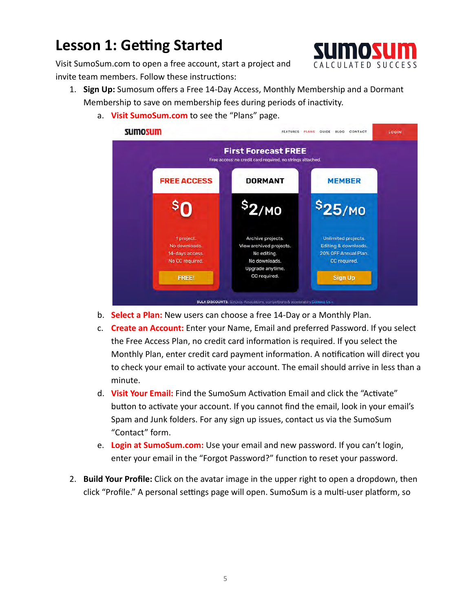## **Lesson 1: Getting Started**



 Visit SumoSum.com to open a free account, start a project and invite team members. Follow these instructions:

- 1. **Sign Up:** Sumosum offers a Free 14-Day Access, Monthly Membership and a Dormant Membership to save on membership fees during periods of inactivity.
	- a. **Visit SumoSum.com** to see the "Plans" page.



- b. **Select a Plan:** New users can choose a free 14-Day or a Monthly Plan.
- c. **Create an Account:** Enter your Name, Email and preferred Password. If you select the Free Access Plan, no credit card information is required. If you select the Monthly Plan, enter credit card payment information. A notification will direct you to check your email to activate your account. The email should arrive in less than a minute.
- d. **Visit Your Email:** Find the SumoSum Activation Email and click the "Activate" button to activate your account. If you cannot find the email, look in your email's Spam and Junk folders. For any sign up issues, contact us via the SumoSum "Contact" form.
- e. **Login at SumoSum.com:** Use your email and new password. If you can't login, enter your email in the "Forgot Password?" function to reset your password.
- 2. **Build Your Profile:** Click on the avatar image in the upper right to open a dropdown, then click "Profile." A personal settings page will open. SumoSum is a multi-user platform, so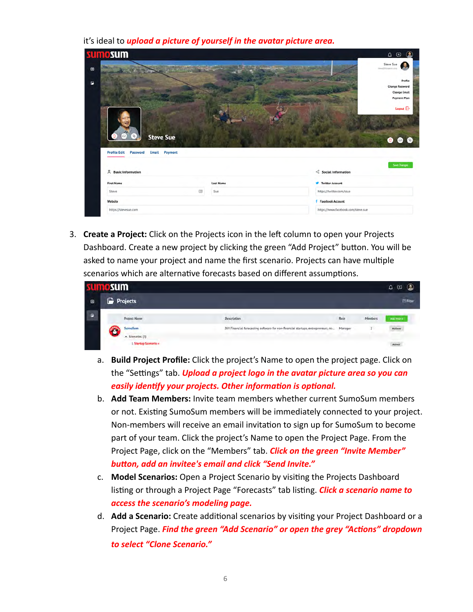it's ideal to *upload a picture of yourself in the avatar picture area.* 

| sumosum                                                                                             |                  | ۵<br>$\circ$                                                                                |
|-----------------------------------------------------------------------------------------------------|------------------|---------------------------------------------------------------------------------------------|
|                                                                                                     |                  | Steve Sue<br>cove@biogenics.org<br>Profile<br><b>Change Password</b><br><b>Change Email</b> |
|                                                                                                     |                  | <b>Payment Plan</b><br>Logout <sup>-</sup>                                                  |
|                                                                                                     |                  |                                                                                             |
| $\omega$<br>$\mathbf{u}$<br><b>Steve Sue</b><br>Email<br><b>Profile Edit</b><br>Password<br>Payment |                  | o                                                                                           |
| & Basic Information                                                                                 |                  | $\leq$ Social Information                                                                   |
| <b>First Name</b>                                                                                   | <b>Last Name</b> | $\bullet$ $\bullet$<br>Save Changes<br><b>Twitter Account</b>                               |
| 国<br>Steve                                                                                          | Sue              | https://twitter.com/ssue                                                                    |
| Website                                                                                             |                  | <b>f</b> Facebook Account                                                                   |

3. **Create a Project:** Click on the Projects icon in the left column to open your Projects Dashboard. Create a new project by clicking the green "Add Project" button. You will be asked to name your project and name the first scenario. Projects can have multiple scenarios which are alternative forecasts based on different assumptions.

| <b>Sum</b>                                             |                                                                                  |         |         | $\boldsymbol{\Xi}$<br>۵ |
|--------------------------------------------------------|----------------------------------------------------------------------------------|---------|---------|-------------------------|
| <b>Projects</b>                                        |                                                                                  |         |         | 日Filter                 |
| <b>Project Name</b>                                    | <b>Description</b>                                                               | Role    | Members | Audi Project            |
| SumoSum                                                | DIY Financial forecasting software for non-financial startups, entrepreneurs, no | Manager |         | Actions                 |
| $\lambda$ Scenarios (1)<br><b>1 Startup Scenario »</b> |                                                                                  |         |         | Actions                 |
|                                                        |                                                                                  |         |         |                         |

- a. **Build Project Profile:** Click the project's Name to open the project page. Click on the "Settings" tab. *Upload a project logo in the avatar picture area so you can easily identify your projects. Other information is optional.*
- b. **Add Team Members:** Invite team members whether current SumoSum members or not. Existing SumoSum members will be immediately connected to your project. Non-members will receive an email invitation to sign up for SumoSum to become part of your team. Click the project's Name to open the Project Page. From the Project Page, click on the "Members" tab. *Click on the green "Invite Member"*  **button, add an invitee's email and click "Send Invite."**
- c. **Model Scenarios:** Open a Project Scenario by vising the Projects Dashboard listing or through a Project Page "Forecasts" tab listing. **Click a scenario name to**  *access the scenario's modeling page.*
- d. Add a Scenario: Create additional scenarios by visiting your Project Dashboard or a Project Page. Find the green "Add Scenario" or open the grey "Actions" dropdown  *to select "Clone Scenario."*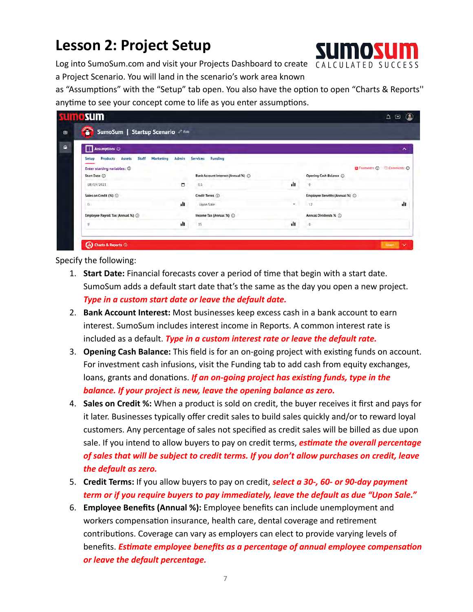## **Lesson 2: Project Setup**



Log into SumoSum.com and visit your Projects Dashboard to create CALCULATED SUCCESS a Project Scenario. You will land in the scenario's work area known

as "Assumptions" with the "Setup" tab open. You also have the option to open "Charts & Reports" anytime to see your concept come to life as you enter assumptions.

| <b>SLIMOSUM</b>                                                                                                 |           |                 |                                                                                |     |                                  | ۵<br>$\circ$                                       |
|-----------------------------------------------------------------------------------------------------------------|-----------|-----------------|--------------------------------------------------------------------------------|-----|----------------------------------|----------------------------------------------------|
| Ť<br>SumoSum   Startup Scenario 2 Edit                                                                          |           |                 |                                                                                |     |                                  |                                                    |
| <b>Assumptions (D)</b>                                                                                          |           |                 |                                                                                |     |                                  | ㅅ                                                  |
| Staff<br><b>Products</b><br>Setup<br><b>Assets</b><br>Enter starting variables: 1<br>Start Date (<br>08/19/2021 | Marketing | Admin<br>$\Box$ | <b>Funding</b><br><b>Services</b><br>Bank Account Interest (Annual %) ©<br>0.5 | ılı | Opening Cash Balance (<br>0      | <b>D</b> Footnotes $\odot$ $\Box$ Comments $\odot$ |
| Sales on Credit (%) (                                                                                           |           |                 | Credit Terms (i)                                                               |     | Employee Benefits (Annual %) (i) |                                                    |
| $\alpha$                                                                                                        |           | dt.             | Upon Sale                                                                      | m.  | $-12$                            | dt.                                                |
| Employee Payroll Tax (Annual %) (                                                                               |           |                 | Income Tax (Annual %) (                                                        |     | Annual Dividends % (             |                                                    |
| y                                                                                                               |           | пh              | 35                                                                             | ılı | ö                                |                                                    |

- 1. **Start Date:** Financial forecasts cover a period of me that begin with a start date. SumoSum adds a default start date that's the same as the day you open a new project.  *Type in a custom start date or leave the default date.*
- 2. **Bank Account Interest:** Most businesses keep excess cash in a bank account to earn interest. SumoSum includes interest income in Reports. A common interest rate is included as a default. *Type in a custom interest rate or leave the default rate.*
- 3. **Opening Cash Balance:** This field is for an on-going project with existing funds on account. For investment cash infusions, visit the Funding tab to add cash from equity exchanges, loans, grants and donations. *If an on-going project has existing funds, type in the balance. If your project is new, leave the opening balance as zero.*
- 4. **Sales on Credit %:** When a product is sold on credit, the buyer receives it first and pays for it later. Businesses typically offer credit sales to build sales quickly and/or to reward loyal customers. Any percentage of sales not specified as credit sales will be billed as due upon sale. If you intend to allow buyers to pay on credit terms, **estimate the overall percentage**  *of sales that will be subject to credit terms. If you don't allow purchases on credit, leave the default as zero.*
- 5. **Credit Terms:** If you allow buyers to pay on credit, *select a 30-, 60- or 90-day payment term or if you require buyers to pay immediately, leave the default as due "Upon Sale."*
- 6. **Employee Benefits (Annual %):** Employee benefits can include unemployment and workers compensation insurance, health care, dental coverage and retirement contributions. Coverage can vary as employers can elect to provide varying levels of benefits. *Estimate employee benefits as a percentage of annual employee compensation or leave the default percentage.*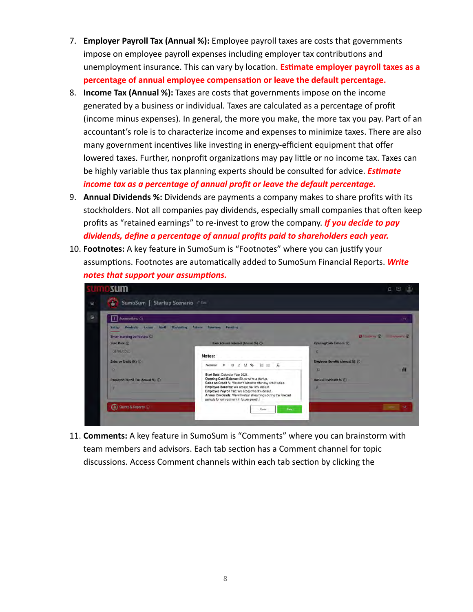- 7. **Employer Payroll Tax (Annual %):** Employee payroll taxes are costs that governments impose on employee payroll expenses including employer tax contributions and unemployment insurance. This can vary by location. **Estimate employer payroll taxes as a** percentage of annual employee compensation or leave the default percentage.
- 8. **Income Tax (Annual %):** Taxes are costs that governments impose on the income generated by a business or individual. Taxes are calculated as a percentage of profit (income minus expenses). In general, the more you make, the more tax you pay. Part of an accountant's role is to characterize income and expenses to minimize taxes. There are also many government incentives like investing in energy-efficient equipment that offer lowered taxes. Further, nonprofit organizations may pay little or no income tax. Taxes can be highly variable thus tax planning experts should be consulted for advice. *Esmate income tax as a percentage of annual profit or leave the default percentage.*
- 9. **Annual Dividends %:** Dividends are payments a company makes to share profits with its stockholders. Not all companies pay dividends, especially small companies that often keep profits as "retained earnings" to re-invest to grow the company. *If you decide to pay dividends, define a percentage of annual profits paid to shareholders each year.*
- 10. **Footnotes:** A key feature in SumoSum is "Footnotes" where you can jusfy your assumptions. Footnotes are automatically added to SumoSum Financial Reports. Write *notes that support your assumptions.*

| Assumptions <sup>(2)</sup>                                |                                                                                                                                                                                                                    |                                                                        |
|-----------------------------------------------------------|--------------------------------------------------------------------------------------------------------------------------------------------------------------------------------------------------------------------|------------------------------------------------------------------------|
| <b>Staff Marketing</b><br><b>Products Assets</b><br>Setup | Admin<br>Services<br>Funding                                                                                                                                                                                       |                                                                        |
| Enter starting variables: @<br><b>Start Date (C)</b>      | Bank Account Interest (Annual %) (D)                                                                                                                                                                               | <b>U</b> Footnum (D<br><b>CONTINUES OF</b><br>Opening Cash Balance (i) |
| 01/01/2021<br>Sales on Credit (%) ()                      | Notes:                                                                                                                                                                                                             | a.<br>Employee Benefits (Annual %)                                     |
| in.                                                       | $T_{\rm s}$<br>im.<br>津<br>B I<br>$\cup$<br>٠<br>Normal<br>$\cdot$<br>Start Date: Calendar Year 2021.                                                                                                              | 12                                                                     |
| Employee Payroll Tax (Annual %) (1)                       | Opening Cash Balance: \$0 as we're a startup.<br>Sales on Credit %: We don't intend to offer any credit sales.<br>Employee Benefits: We accept the 12% default.<br>Employee Payroll Tax: We accept the 9% default. | Annual Dividends % (0)<br>٠                                            |

 11. **Comments:** A key feature in SumoSum is "Comments" where you can brainstorm with team members and advisors. Each tab section has a Comment channel for topic discussions. Access Comment channels within each tab section by clicking the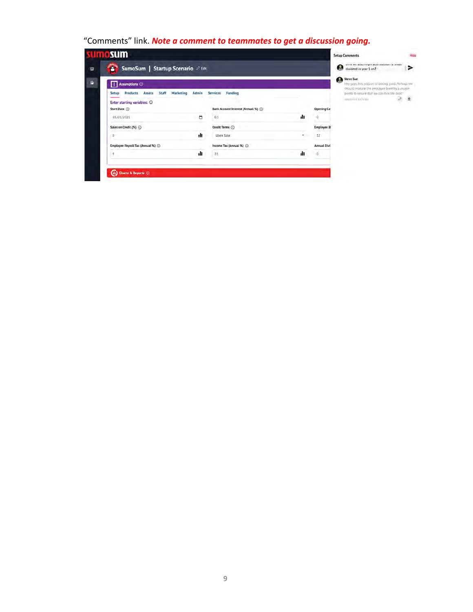### "Comments" link. *Note a comment to teammates to get a discussion going.*

| Ŧ            | SumoSum   Startup Scenario 2 Edit                                                    |       |                                    |     |                    | их ку, те возы педес всю коровко в этом.<br>Œ<br>dividend in year 3 on?                                                           | ⋗ |
|--------------|--------------------------------------------------------------------------------------|-------|------------------------------------|-----|--------------------|-----------------------------------------------------------------------------------------------------------------------------------|---|
|              | <b>Assumptions </b><br><b>Products</b><br><b>Assets</b><br>Staff<br><b>Marketing</b> | Admin | <b>Services</b><br><b>Funding</b>  |     |                    | o<br><b>Steve Sue</b><br>Hey guys, this section III tooking good. Pertures was<br>should increase the employee limitibs a coupli- |   |
| Setup        | Enter starting variables: ①<br>Start Date (                                          |       | Bank Account Interest (Annual %) ( |     | <b>Opening Ca</b>  | points to ensure that we can mice the best?"<br><b>JUANAY COLLEGE MA</b>                                                          | 直 |
|              | 01/01/2021                                                                           | ٥     | 0.5                                | ılı | 0                  |                                                                                                                                   |   |
|              | Sales on Credit (%) (2)                                                              |       | Credit Terms (                     |     | <b>Employee B</b>  |                                                                                                                                   |   |
| <sup>7</sup> |                                                                                      | 1II   | Upon Sale                          | $+$ | 12                 |                                                                                                                                   |   |
|              | Employee Payroll Tax (Annual %) (                                                    |       | Income Tax (Annual %) (            |     | <b>Annual Divi</b> |                                                                                                                                   |   |
| g            |                                                                                      | ılı.  | 35                                 | тh  | ő                  |                                                                                                                                   |   |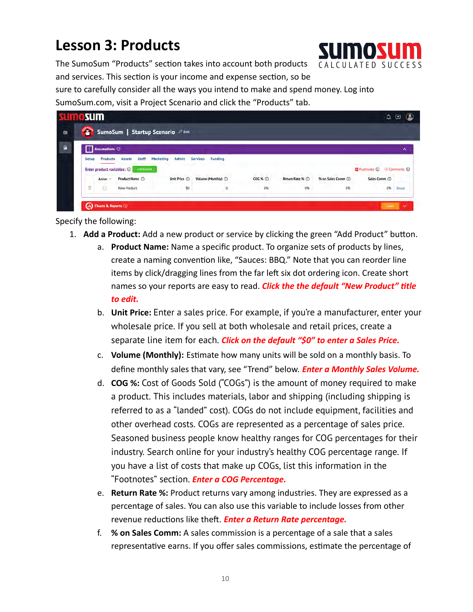## **Lesson 3: Products**



The SumoSum "Products" section takes into account both products and services. This section is your income and expense section, so be

 sure to carefully consider all the ways you intend to make and spend money. Log into SumoSum.com, visit a Project Scenario and click the "Products" tab.

|   | sumo sum     |                            |                        |                                   |                            |                                    |                 |                   |                           | ۵<br>$\boldsymbol{\Xi}$ |
|---|--------------|----------------------------|------------------------|-----------------------------------|----------------------------|------------------------------------|-----------------|-------------------|---------------------------|-------------------------|
| ⊜ | <b>SPOKA</b> |                            |                        | SumoSum   Startup Scenario & Eart |                            |                                    |                 |                   |                           |                         |
| G |              | Assumptions (              |                        |                                   |                            |                                    |                 |                   |                           | ∼                       |
|   | Setup        | <b>Products</b>            | Staff<br><b>Assets</b> | Marketing<br>Admin                | Funding<br><b>Services</b> |                                    |                 |                   |                           |                         |
|   |              | Enter product variables: 1 | Arz Fredert            |                                   |                            |                                    |                 |                   | Fuotnotes (D Comments (D) |                         |
|   |              | Action ~                   | Product Name (1)       | Unit Price 1                      | Volume (Monthly) (D)       | and the Car<br>$\cos \kappa \odot$ | Return Rate % ① | % on Sales Comm ( | Sales Comm (              |                         |

- 1. **Add a Product:** Add a new product or service by clicking the green "Add Product" button.
	- a. **Product Name:** Name a specific product. To organize sets of products by lines, create a naming convention like, "Sauces: BBQ." Note that you can reorder line items by click/dragging lines from the far left six dot ordering icon. Create short names so your reports are easy to read. **Click the the default "New Product" title**  *to edit.*
	- b. **Unit Price:** Enter a sales price. For example, if you're a manufacturer, enter your wholesale price. If you sell at both wholesale and retail prices, create a separate line item for each. *Click on the default "\$0" to enter a Sales Price.*
	- c. **Volume (Monthly):** Estimate how many units will be sold on a monthly basis. To define monthly sales that vary, see "Trend" below. *Enter a Monthly Sales Volume.*
	- d. **COG %:** Cost of Goods Sold ("COGs") is the amount of money required to make a product. This includes materials, labor and shipping (including shipping is referred to as a "landed" cost). COGs do not include equipment, facilities and other overhead costs. COGs are represented as a percentage of sales price. Seasoned business people know healthy ranges for COG percentages for their industry. Search online for your industry's healthy COG percentage range. If you have a list of costs that make up COGs, list this information in the "Footnotes" section. *Enter a COG Percentage.*
	- e. **Return Rate %:** Product returns vary among industries. They are expressed as a percentage of sales. You can also use this variable to include losses from other revenue reductions like theft. **Enter a Return Rate percentage.**
	- f. **% on Sales Comm:** A sales commission is a percentage of a sale that a sales representative earns. If you offer sales commissions, estimate the percentage of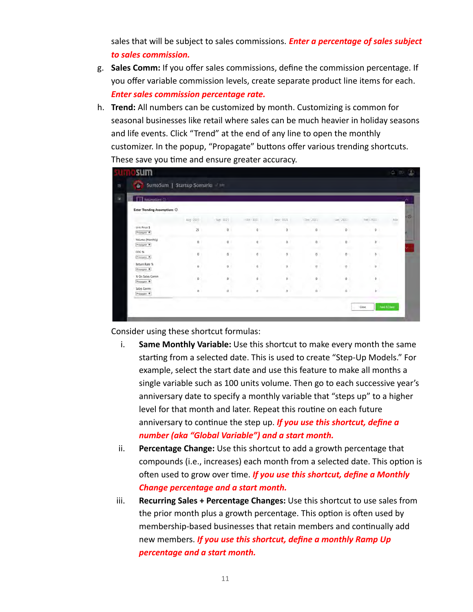sales that will be subject to sales commissions. *Enter a percentage of sales subject to sales commission.* 

- g. **Sales Comm:** If you offer sales commissions, define the commission percentage. If you offer variable commission levels, create separate product line items for each.  *Enter sales commission percentage rate.*
- h. **Trend:** All numbers can be customized by month. Customizing is common for seasonal businesses like retail where sales can be much heavier in holiday seasons and life events. Click "Trend" at the end of any line to open the monthly customizer. In the popup, "Propagate" buttons offer various trending shortcuts. These save you time and ensure greater accuracy.

| Assumptions O                   |                  |                         |                 |                     |                         |             |                    |                 |
|---------------------------------|------------------|-------------------------|-----------------|---------------------|-------------------------|-------------|--------------------|-----------------|
| Enter Trending Assumptions ©    |                  |                         |                 |                     |                         |             |                    |                 |
|                                 | Alig-2021        | Sec - 7021              | $-1708 - 73321$ | Nov. 2021           | Dec - 2021              | $-8 - 2021$ | teriorn.           | $\mu_{\rm eff}$ |
| Unit Price \$<br>Propagate >    | 25               | $\mathfrak{g}$          | $\mathbf{0}$    | $\theta$            | $\mathfrak{a}$          | $\mathbb O$ | $\mathbf 0$        |                 |
| Volume (Monthly)<br>Problgate > | o                | $\circ$<br><b>OUNCE</b> | O.              | o                   | $-0.$<br><b>COMPANY</b> | D.<br>-     | $\sigma$<br>chedo. |                 |
| $COG$ %<br>Propagate *          | $\alpha$         | $\Omega$                | $\Omega$        | $\bf 0$             | $\mathfrak g$           | ņ           | 0                  |                 |
| Return Rate %<br>Propagate >    | $\boldsymbol{0}$ | Ü.                      | 6.              | $\theta$            | U.<br>$\overline{0}$    | ø           | U,<br>iO.          |                 |
| % On Sales Comm<br>Propagate >  | ø                | b                       | ø               | a<br>$\overline{0}$ | ø.                      | o           | $\circ$            |                 |
| Sales Commi<br>Propagate +      | ø                | ö.                      | ū               | ×<br>$\alpha$       | ù.                      | à           | ò                  |                 |

Consider using these shortcut formulas:

- i. **Same Monthly Variable:** Use this shortcut to make every month the same starting from a selected date. This is used to create "Step-Up Models." For example, select the start date and use this feature to make all months a single variable such as 100 units volume. Then go to each successive year's anniversary date to specify a monthly variable that "steps up" to a higher level for that month and later. Repeat this routine on each future anniversary to continue the step up. *If you use this shortcut, define a number (aka "Global Variable") and a start month.*
- ii. **Percentage Change:** Use this shortcut to add a growth percentage that compounds (i.e., increases) each month from a selected date. This option is often used to grow over time. *If you use this shortcut, define a Monthly Change percentage and a start month.*
- iii. **Recurring Sales + Percentage Changes:** Use this shortcut to use sales from the prior month plus a growth percentage. This option is often used by membership-based businesses that retain members and continually add new members. *If you use this shortcut, define a monthly Ramp Up percentage and a start month.*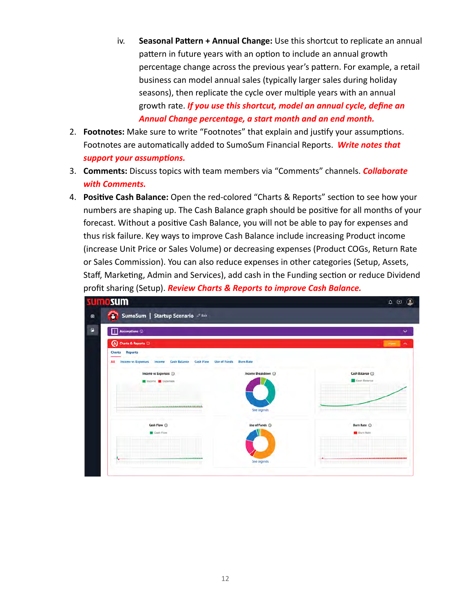- iv. **Seasonal Pattern + Annual Change:** Use this shortcut to replicate an annual pattern in future years with an option to include an annual growth percentage change across the previous year's pattern. For example, a retail business can model annual sales (typically larger sales during holiday seasons), then replicate the cycle over multiple years with an annual growth rate. *If you use this shortcut, model an annual cycle, define an Annual Change percentage, a start month and an end month.*
- 2. **Footnotes:** Make sure to write "Footnotes" that explain and justify your assumptions. Footnotes are automatically added to SumoSum Financial Reports. Write notes that *support your assumptions.*
- 3. **Comments:** Discuss topics with team members via "Comments" channels. *Collaborate with Comments.*
- 4. **Positive Cash Balance:** Open the red-colored "Charts & Reports" section to see how your numbers are shaping up. The Cash Balance graph should be positive for all months of your forecast. Without a positive Cash Balance, you will not be able to pay for expenses and thus risk failure. Key ways to improve Cash Balance include increasing Product income (increase Unit Price or Sales Volume) or decreasing expenses (Product COGs, Return Rate or Sales Commission). You can also reduce expenses in other categories (Setup, Assets, Staff, Marketing, Admin and Services), add cash in the Funding section or reduce Dividend profit sharing (Setup). *Review Charts & Reports to improve Cash Balance.*

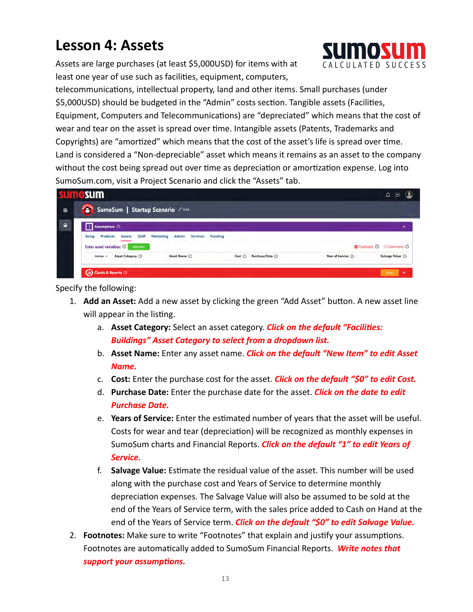## **Lesson 4: Assets**

 Assets are large purchases (at least \$5,000USD) for items with at least one year of use such as facilities, equipment, computers,



telecommunications, intellectual property, land and other items. Small purchases (under \$5,000USD) should be budgeted in the "Admin" costs section. Tangible assets (Facilities, Equipment, Computers and Telecommunications) are "depreciated" which means that the cost of wear and tear on the asset is spread over time. Intangible assets (Patents, Trademarks and Copyrights) are "amortized" which means that the cost of the asset's life is spread over time. Land is considered a "Non-depreciable" asset which means it remains as an asset to the company without the cost being spread out over time as depreciation or amortization expense. Log into SumoSum.com, visit a Project Scenario and click the "Assets" tab.

|           | sumo sum                                                                                           |                                                                      |                            |                     | $\omega$<br>$\blacksquare$<br>۵         |
|-----------|----------------------------------------------------------------------------------------------------|----------------------------------------------------------------------|----------------------------|---------------------|-----------------------------------------|
| $\square$ | SumoSum   Startup Scenario e Edit                                                                  |                                                                      |                            |                     |                                         |
| P.        | <b>Assumptions </b>                                                                                |                                                                      |                            |                     | ́                                       |
|           | Staff<br>Products<br>Marketing<br>Setup<br><b>Assets</b><br>Enter asset variables: @<br>Add Assett | Admin<br>Funding<br><b>Services</b><br>the company<br><b>Service</b> |                            |                     | Footnotes <b>Q</b> El Comments <b>Q</b> |
|           | Asset Category (<br>Action ~                                                                       | Asset Name (i)                                                       | Cost (i) Purchase Date (i) | Year of Service (i) | Salvage Value (                         |

- 1. Add an Asset: Add a new asset by clicking the green "Add Asset" button. A new asset line will appear in the listing.
	- a. **Asset Category:** Select an asset category. *Click on the default "Facilies: Buildings" Asset Category to select from a dropdown list.*
	- b. **Asset Name:** Enter any asset name. *Click on the default "New Item" to edit Asset Name.*
	- c. **Cost:** Enter the purchase cost for the asset. *Click on the default "\$0" to edit Cost.*
	- d. **Purchase Date:** Enter the purchase date for the asset. *Click on the date to edit Purchase Date.*
	- e. **Years of Service:** Enter the estimated number of years that the asset will be useful. Costs for wear and tear (depreciation) will be recognized as monthly expenses in SumoSum charts and Financial Reports . *Click on the default "1" to edit Years of Service.*
	- f. Salvage Value: Estimate the residual value of the asset. This number will be used along with the purchase cost and Years of Service to determine monthly depreciation expenses. The Salvage Value will also be assumed to be sold at the end of the Years of Service term, with the sales price added to Cash on Hand at the end of the Years of Service term. *Click on the default "\$0" to edit Salvage Value.*
- 2. **Footnotes:** Make sure to write "Footnotes" that explain and justify your assumptions. Footnotes are automatically added to SumoSum Financial Reports. Write notes that *support your assumptions.*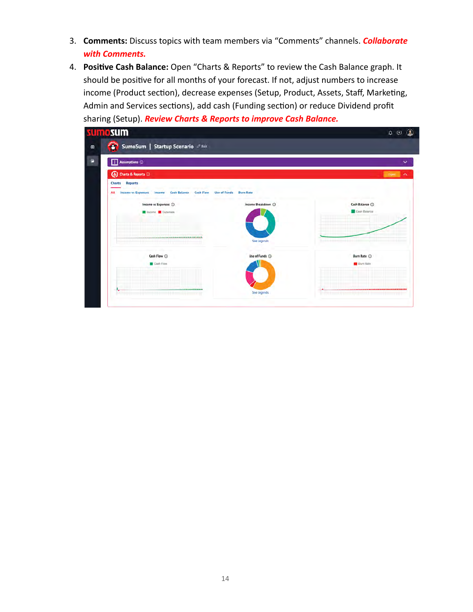- 3. **Comments:** Discuss topics with team members via "Comments" channels. *Collaborate with Comments.*
- 4. **Positive Cash Balance:** Open "Charts & Reports" to review the Cash Balance graph. It should be positive for all months of your forecast. If not, adjust numbers to increase income (Product section), decrease expenses (Setup, Product, Assets, Staff, Marketing, Admin and Services sections), add cash (Funding section) or reduce Dividend profit sharing (Setup). *Review Charts & Reports to improve Cash Balance.*

| Assumptions <sup>(i)</sup>                                                                                                                                            |                                                               |                                   |
|-----------------------------------------------------------------------------------------------------------------------------------------------------------------------|---------------------------------------------------------------|-----------------------------------|
| (iii) Charts & Reports (i)                                                                                                                                            |                                                               | <b>CONTE</b>                      |
| <b>Reports</b><br>Charts<br><b>Income vs Expenses</b><br><b>Cash Flow</b><br>AII<br><b>Cash Balance</b><br>Income<br>Income vs Expenses (<br><b>Income C</b> Expenses | <b>Use of Funds</b><br><b>Burn Rate</b><br>Income Breakdown ( | Cash Balance (<br>Cash Balance    |
| ---                                                                                                                                                                   | See legends                                                   | ,,,,,,,,,,,,,,,,,,,,,,,,,,,       |
| Cash Flow (<br>Cash Flow                                                                                                                                              | Use of Funds (                                                | Burn Rate (D)<br><b>Burn Rale</b> |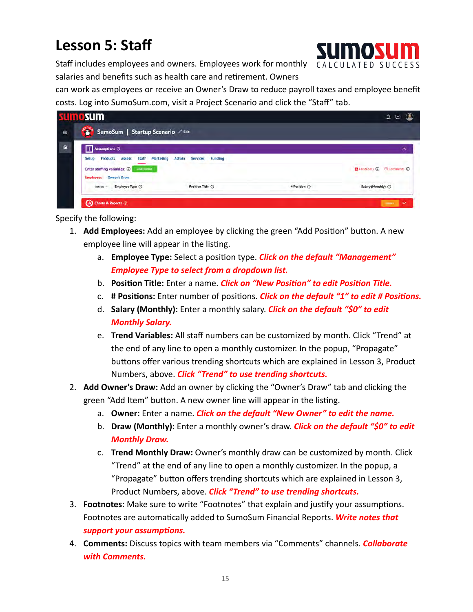## **Lesson 5: Staff**



Staff includes employees and owners. Employees work for monthly CALCULATED SUCCESS salaries and benefits such as health care and retirement. Owners

 can work as employees or receive an Owner's Draw to reduce payroll taxes and employee benefit costs. Log into SumoSum.com, visit a Project Scenario and click the "Staff" tab.

| <b>SPORES</b><br>$\bullet$ |                                                                                                                                                       |                  |                |                                                                     |
|----------------------------|-------------------------------------------------------------------------------------------------------------------------------------------------------|------------------|----------------|---------------------------------------------------------------------|
|                            | SumoSum   Startup Scenario 2 Edit                                                                                                                     |                  |                |                                                                     |
| $\mathbf{r}$               | Assumptions (I)                                                                                                                                       |                  |                | ㅅ                                                                   |
| Setup                      | <b>Staff</b><br>Marketing<br>Admin<br><b>Products</b><br><b>Assets</b><br>Enter staffing variables: 1<br>Add Fourton<br><b>Employees</b> Owner's Draw | Services Funding |                | <b>D</b> Fontnotes $\overline{O}$ <b>El Comments</b> $\overline{O}$ |
|                            | Employee Type (<br>Action $\sim$                                                                                                                      | Position Title ( | # Position (c) | Salary (Monthly) (                                                  |

- 1. Add Employees: Add an employee by clicking the green "Add Position" button. A new employee line will appear in the listing.
	- a. **Employee Type:** Select a position type. **Click on the default "Management"**  *Employee Type to select from a dropdown list.*
	- b. **Position Title:** Enter a name. *Click on "New Position" to edit Position Title.*
	- c. # Positions: Enter number of positions. *Click on the default "1" to edit # Positions.*
	- d. **Salary (Monthly):** Enter a monthly salary. *Click on the default "\$0" to edit Monthly Salary.*
	- e. **Trend Variables:** All staff numbers can be customized by month. Click "Trend" at the end of any line to open a monthly customizer. In the popup, "Propagate" buttons offer various trending shortcuts which are explained in Lesson 3, Product Numbers, above. *Click "Trend" to use trending shortcuts.*
- 2. **Add Owner's Draw:** Add an owner by clicking the "Owner's Draw" tab and clicking the green "Add Item" button. A new owner line will appear in the listing.
	- a. **Owner:** Enter a name. *Click on the default "New Owner" to edit the name.*
	- b. **Draw (Monthly):** Enter a monthly owner's draw. *Click on the default "\$0" to edit Monthly Draw.*
	- c. **Trend Monthly Draw:** Owner's monthly draw can be customized by month. Click "Trend" at the end of any line to open a monthly customizer. In the popup, a "Propagate" button offers trending shortcuts which are explained in Lesson 3, Product Numbers, above. *Click "Trend" to use trending shortcuts.*
- 3. **Footnotes:** Make sure to write "Footnotes" that explain and justify your assumptions. Footnotes are automatically added to SumoSum Financial Reports. Write notes that *support your assumptions.*
- 4. **Comments:** Discuss topics with team members via "Comments" channels. *Collaborate with Comments.*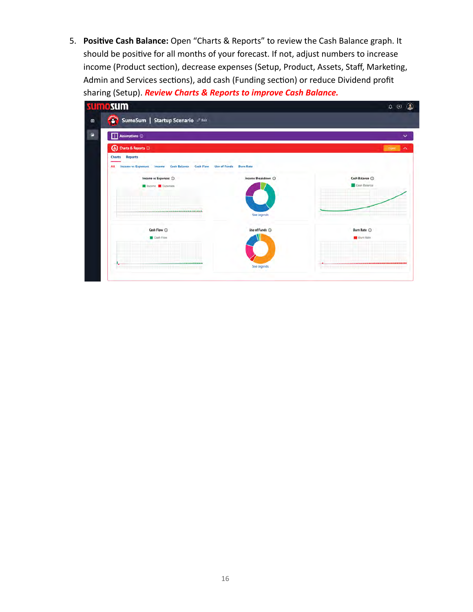5. **Positive Cash Balance:** Open "Charts & Reports" to review the Cash Balance graph. It should be positive for all months of your forecast. If not, adjust numbers to increase income (Product section), decrease expenses (Setup, Product, Assets, Staff, Marketing, Admin and Services sections), add cash (Funding section) or reduce Dividend profit sharing (Setup). *Review Charts & Reports to improve Cash Balance.* 

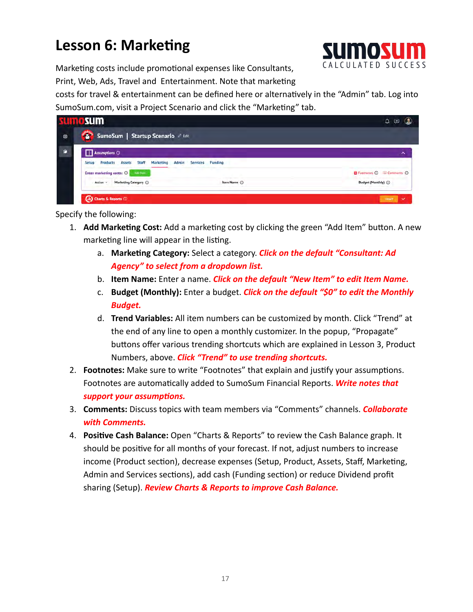## **Lesson 6: Marketing**



Marketing costs include promotional expenses like Consultants, Print, Web, Ads, Travel and Entertainment. Note that marketing

costs for travel & entertainment can be defined here or alternatively in the "Admin" tab. Log into SumoSum.com, visit a Project Scenario and click the "Marketing" tab.

| SumoSum   Startup Scenario                                                                   |                                                    |
|----------------------------------------------------------------------------------------------|----------------------------------------------------|
| Assumptions <sup>(2)</sup>                                                                   | ㅅ                                                  |
| Funding<br><b>Services</b><br><b>Products Assets</b><br>Marketing<br>Staff<br>Admin<br>Setup |                                                    |
| Enter marketing costs: (D) Marketing                                                         | $\Box$ Factnotes $\odot$ $\equiv$ Camments $\odot$ |
| Marketing Category (<br>Item Name (<br>Action v                                              | Budget (Monthly) (                                 |

- 1. Add Marketing Cost: Add a marketing cost by clicking the green "Add Item" button. A new marketing line will appear in the listing.
	- a. Marketing Category: Select a category. Click on the default "Consultant: Ad  *Agency" to select from a dropdown list.*
	- b. **Item Name:** Enter a name. *Click on the default "New Item" to edit Item Name.*
	- c. **Budget (Monthly):** Enter a budget. *Click on the default "\$0" to edit the Monthly Budget.*
	- d. **Trend Variables:** All item numbers can be customized by month. Click "Trend" at the end of any line to open a monthly customizer. In the popup, "Propagate" buttons offer various trending shortcuts which are explained in Lesson 3, Product Numbers, above. *Click "Trend" to use trending shortcuts.*
- 2. **Footnotes:** Make sure to write "Footnotes" that explain and justify your assumptions. Footnotes are automatically added to SumoSum Financial Reports. Write notes that *support your assumptions.*
- 3. **Comments:** Discuss topics with team members via "Comments" channels. *Collaborate with Comments.*
- 4. **Positive Cash Balance:** Open "Charts & Reports" to review the Cash Balance graph. It should be positive for all months of your forecast. If not, adjust numbers to increase income (Product section), decrease expenses (Setup, Product, Assets, Staff, Marketing, Admin and Services sections), add cash (Funding section) or reduce Dividend profit sharing (Setup). *Review Charts & Reports to improve Cash Balance.*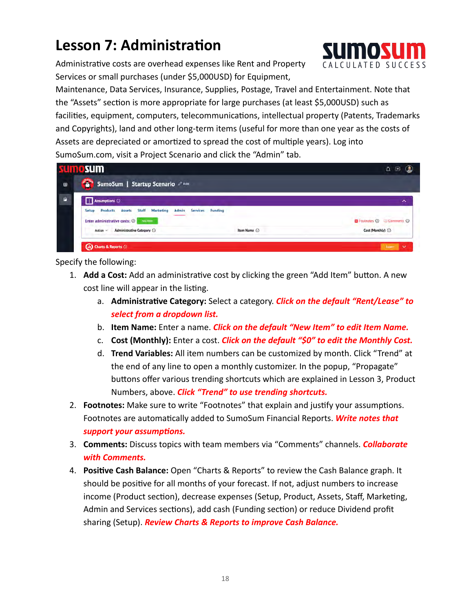## **Lesson 7: Administration**

Administrative costs are overhead expenses like Rent and Property Services or small purchases (under \$5,000USD) for Equipment,

 Maintenance, Data Services, Insurance, Supplies, Postage, Travel and Entertainment. Note that the "Assets" section is more appropriate for large purchases (at least \$5,000USD) such as facilities, equipment, computers, telecommunications, intellectual property (Patents, Trademarks and Copyrights), land and other long-term items (useful for more than one year as the costs of Assets are depreciated or amortized to spread the cost of multiple years). Log into SumoSum.com, visit a Project Scenario and click the "Admin" tab.

|                | <b>SUMCSUM</b>                                                                                                                                                    |             | $\bullet$<br>Δ                                     |
|----------------|-------------------------------------------------------------------------------------------------------------------------------------------------------------------|-------------|----------------------------------------------------|
| $\blacksquare$ | SumoSum   Startup Scenario                                                                                                                                        |             |                                                    |
| - 6            | Assumptions <sup>(1)</sup>                                                                                                                                        |             | ㅅ                                                  |
|                | <b>Products</b><br><b>Assets</b><br><b>Staff</b><br>Marketing<br>Admin<br>Setup<br>Funding<br><b>Services</b><br>Enter administrative costs: 1<br><b>Acciliem</b> |             | <b>D</b> Footnotes $\odot$ $\Box$ Comments $\odot$ |
|                | Action CAdministrative Category (                                                                                                                                 | Item Name ( | Cost (Monthly) (                                   |

- 1. **Add a Cost:** Add an administrative cost by clicking the green "Add Item" button. A new cost line will appear in the listing.
	- a. Administrative Category: Select a category. Click on the default "Rent/Lease" to  *select from a dropdown list.*
	- b. **Item Name:** Enter a name. *Click on the default "New Item" to edit Item Name.*
	- c. **Cost (Monthly):** Enter a cost. *Click on the default "\$0" to edit the Monthly Cost.*
	- d. **Trend Variables:** All item numbers can be customized by month. Click "Trend" at the end of any line to open a monthly customizer. In the popup, "Propagate" buttons offer various trending shortcuts which are explained in Lesson 3, Product Numbers, above. *Click "Trend" to use trending shortcuts.*
- 2. **Footnotes:** Make sure to write "Footnotes" that explain and justify your assumptions. Footnotes are automatically added to SumoSum Financial Reports. Write notes that *support your assumptions.*
- 3. **Comments:** Discuss topics with team members via "Comments" channels. *Collaborate with Comments.*
- 4. **Positive Cash Balance:** Open "Charts & Reports" to review the Cash Balance graph. It should be positive for all months of your forecast. If not, adjust numbers to increase income (Product section), decrease expenses (Setup, Product, Assets, Staff, Marketing, Admin and Services sections), add cash (Funding section) or reduce Dividend profit sharing (Setup). *Review Charts & Reports to improve Cash Balance.*

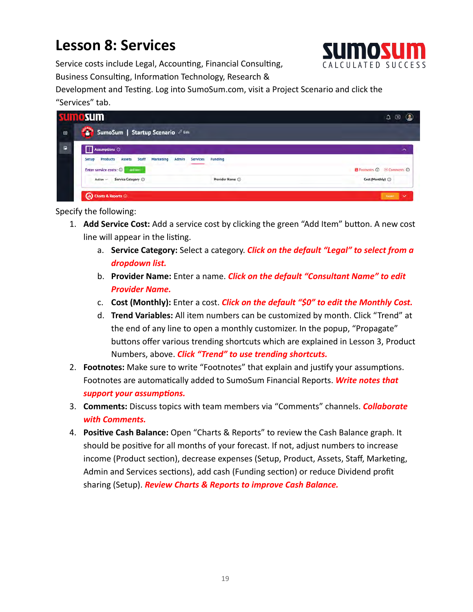## **Lesson 8: Services**



Service costs include Legal, Accounting, Financial Consulting, Business Consulting, Information Technology, Research &

Development and Testing. Log into SumoSum.com, visit a Project Scenario and click the "Services" tab.

| SumoSum   Startup Scenario 2 Edit                                                                     |                                            |
|-------------------------------------------------------------------------------------------------------|--------------------------------------------|
|                                                                                                       |                                            |
|                                                                                                       | $\sim$                                     |
| <b>Staff</b><br><b>Assets</b><br>Funding<br>Marketing<br>Admin<br><b>Services</b><br><b>And Herry</b> | Footnotes $\bigcirc$ E Comments $\bigcirc$ |
| Service Category (D)<br>Provider Name (                                                               | Cost (Monthly) (                           |
| (ii) Charts & Reports @                                                                               |                                            |

- 1. **Add Service Cost:** Add a service cost by clicking the green "Add Item" button. A new cost line will appear in the listing.
	- a. **Service Category:** Select a category. *Click on the default "Legal" to select from a dropdown list.*
	- b. **Provider Name:** Enter a name. *Click on the default "Consultant Name" to edit Provider Name.*
	- c. **Cost (Monthly):** Enter a cost. *Click on the default "\$0" to edit the Monthly Cost.*
	- d. **Trend Variables:** All item numbers can be customized by month. Click "Trend" at the end of any line to open a monthly customizer. In the popup, "Propagate" buttons offer various trending shortcuts which are explained in Lesson 3, Product Numbers, above. *Click "Trend" to use trending shortcuts.*
- 2. **Footnotes:** Make sure to write "Footnotes" that explain and justify your assumptions. Footnotes are automatically added to SumoSum Financial Reports. Write notes that *support your assumptions.*
- 3. **Comments:** Discuss topics with team members via "Comments" channels. *Collaborate with Comments.*
- 4. **Positive Cash Balance:** Open "Charts & Reports" to review the Cash Balance graph. It should be positive for all months of your forecast. If not, adjust numbers to increase income (Product section), decrease expenses (Setup, Product, Assets, Staff, Marketing, Admin and Services sections), add cash (Funding section) or reduce Dividend profit sharing (Setup). *Review Charts & Reports to improve Cash Balance.*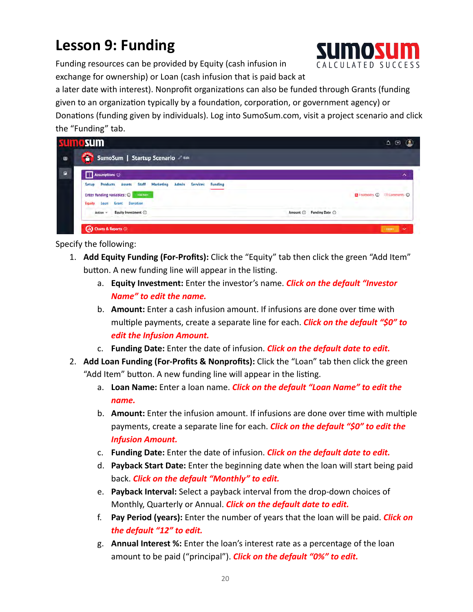## **Lesson 9: Funding**

 Funding resources can be provided by Equity (cash infusion in exchange for ownership) or Loan (cash infusion that is paid back at

a later date with interest). Nonprofit organizations can also be funded through Grants (funding given to an organization typically by a foundation, corporation, or government agency) or Donations (funding given by individuals). Log into SumoSum.com, visit a project scenario and click the "Funding" tab.

|                | <b>sumosum</b>                                                                                                                                                                          | ۵<br>$\boldsymbol{\Theta}$                                          |
|----------------|-----------------------------------------------------------------------------------------------------------------------------------------------------------------------------------------|---------------------------------------------------------------------|
| $\bullet$      | <b>STARKS</b><br>SumoSum   Startup Scenario 2 Edit                                                                                                                                      |                                                                     |
| $\blacksquare$ | Assumptions <sup>(D)</sup>                                                                                                                                                              | ㅅ                                                                   |
|                | Staff<br><b>Products</b><br><b>Marketing</b><br>Assets<br>Admin<br>Funding<br><b>Services</b><br>Setup<br>Enter funding variables: @ Wattern<br><b>Grant</b> Donation<br>Equity<br>Loan | <b>D</b> Footnotes $\overline{O}$ <b>El Comments</b> $\overline{O}$ |
|                | Equity Investment (<br>Action $\sim$                                                                                                                                                    | Amount ( Funding Date ( )                                           |

- 1. **Add Equity Funding (For-Profits):** Click the "Equity" tab then click the green "Add Item" button. A new funding line will appear in the listing.
	- a. **Equity Investment:** Enter the investor's name . *Click on the default "Investor Name" to edit the name.*
	- b. **Amount:** Enter a cash infusion amount. If infusions are done over time with multiple payments, create a separate line for each. *Click on the default "\$0" to edit the Infusion Amount.*
	- c. **Funding Date:** Enter the date of infusion. *Click on the default date to edit.*
- 2. **Add Loan Funding (For-Profits & Nonprofits):** Click the "Loan" tab then click the green "Add Item" button. A new funding line will appear in the listing.
	- a. **Loan Name:** Enter a loan name . *Click on the default "Loan Name" to edit the name.*
	- b. **Amount:** Enter the infusion amount. If infusions are done over time with multiple payments, create a separate line for each. *Click on the default "\$0" to edit the Infusion Amount.*
	- c. **Funding Date:** Enter the date of infusion. *Click on the default date to edit.*
	- d. **Payback Start Date:** Enter the beginning date when the loan will start being paid back. *Click on the default "Monthly" to edit.*
	- e. **Payback Interval:** Select a payback interval from the drop-down choices of Monthly, Quarterly or Annual . *Click on the default date to edit.*
	- f. **Pay Period (years):** Enter the number of years that the loan will be paid . *Click on the default "12" to edit.*
	- g. **Annual Interest %:** Enter the loan's interest rate as a percentage of the loan amount to be paid ("principal"). **Click on the default "0%" to edit.**

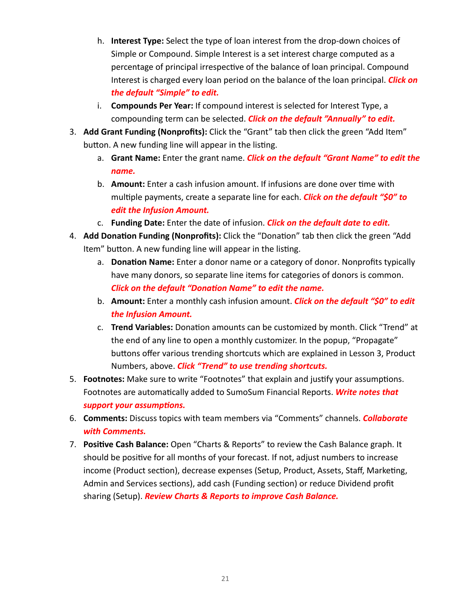- h. **Interest Type:** Select the type of loan interest from the drop-down choices of Simple or Compound. Simple Interest is a set interest charge computed as a percentage of principal irrespective of the balance of loan principal. Compound Interest is charged every loan period on the balance of the loan principal . *Click on the default "Simple" to edit.*
- i. **Compounds Per Year:** If compound interest is selected for Interest Type, a compounding term can be selected. *Click on the default "Annually" to edit.*
- 3. **Add Grant Funding (Nonprofits):** Click the "Grant" tab then click the green "Add Item" button. A new funding line will appear in the listing.
	- a. **Grant Name:** Enter the grant name. *Click on the default "Grant Name" to edit the name.*
	- b. **Amount:** Enter a cash infusion amount. If infusions are done over time with multiple payments, create a separate line for each. **Click on the default "\$0" to**  *edit the Infusion Amount.*
	- c. **Funding Date:** Enter the date of infusion. *Click on the default date to edit.*
- 4. Add Donation Funding (Nonprofits): Click the "Donation" tab then click the green "Add Item" button. A new funding line will appear in the listing.
	- a. **Donation Name:** Enter a donor name or a category of donor. Nonprofits typically have many donors, so separate line items for categories of donors is common. *Click on the default "Donation Name" to edit the name.*
	- b. **Amount:** Enter a monthly cash infusion amount. *Click on the default "\$0" to edit the Infusion Amount.*
	- c. **Trend Variables:** Donation amounts can be customized by month. Click "Trend" at the end of any line to open a monthly customizer. In the popup, "Propagate" buttons offer various trending shortcuts which are explained in Lesson 3, Product Numbers, above. *Click "Trend" to use trending shortcuts.*
- 5. **Footnotes:** Make sure to write "Footnotes" that explain and justify your assumptions. Footnotes are automatically added to SumoSum Financial Reports. Write notes that *support your assumptions.*
- 6. **Comments:** Discuss topics with team members via "Comments" channels. *Collaborate with Comments.*
- 7. **Positive Cash Balance:** Open "Charts & Reports" to review the Cash Balance graph. It should be positive for all months of your forecast. If not, adjust numbers to increase income (Product section), decrease expenses (Setup, Product, Assets, Staff, Marketing, Admin and Services sections), add cash (Funding section) or reduce Dividend profit sharing (Setup). *Review Charts & Reports to improve Cash Balance.*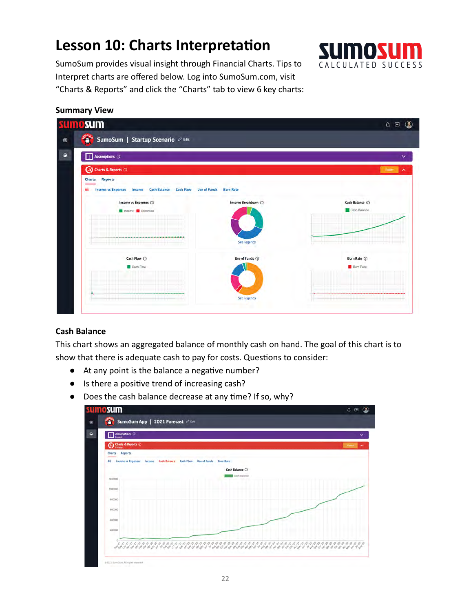## **Lesson 10: Charts Interpretation**



 SumoSum provides visual insight through Financial Charts. Tips to Interpret charts are offered below. Log into SumoSum.com, visit "Charts & Reports" and click the "Charts" tab to view 6 key charts:

#### **Summary View**

| xш | nosum                                                                                                        |                    | œ<br>$\Delta$ $\,\odot$ |  |  |  |
|----|--------------------------------------------------------------------------------------------------------------|--------------------|-------------------------|--|--|--|
| ⊜  | 3<br>SumoSum   Startup Scenario 2 Edit                                                                       |                    |                         |  |  |  |
| P  | Assumptions (                                                                                                | v                  |                         |  |  |  |
|    | (ii) Charts & Reports ©                                                                                      |                    | Extern<br>⌒             |  |  |  |
|    | <b>Reports</b><br>Charts                                                                                     |                    |                         |  |  |  |
|    | <b>Income vs Expenses</b><br>All<br>Income<br><b>Cash Balance</b><br><b>Cash Flow</b><br><b>Use of Funds</b> | <b>Burn Rate</b>   |                         |  |  |  |
|    | Income vs Expenses @                                                                                         | Income Breakdown ( | Cash Balance (          |  |  |  |
|    | Income <b>D</b> Expenses                                                                                     |                    | Cash Balance            |  |  |  |
|    |                                                                                                              |                    |                         |  |  |  |
|    |                                                                                                              | See legends        |                         |  |  |  |
|    |                                                                                                              |                    |                         |  |  |  |
|    | Cash Flow <sup>(1)</sup>                                                                                     | Use of Funds @     | Burn Rate ©             |  |  |  |
|    | Cash Flow                                                                                                    |                    | <b>Burn Rate</b>        |  |  |  |
|    |                                                                                                              |                    |                         |  |  |  |
|    | -------------------                                                                                          | See legends        |                         |  |  |  |
|    |                                                                                                              |                    |                         |  |  |  |
|    |                                                                                                              |                    |                         |  |  |  |

#### **Cash Balance**

 This chart shows an aggregated balance of monthly cash on hand. The goal of this chart is to show that there is adequate cash to pay for costs. Questions to consider:

- At any point is the balance a negative number?
- Is there a positive trend of increasing cash?
- Does the cash balance decrease at any time? If so, why?

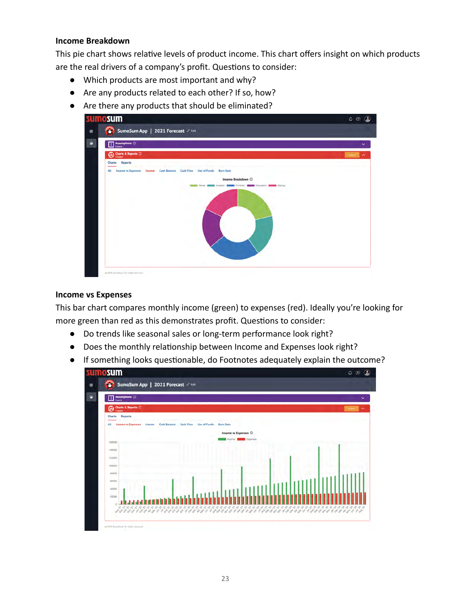#### **Income Breakdown**

This pie chart shows relative levels of product income. This chart offers insight on which products are the real drivers of a company's profit. Questions to consider:

- Which products are most important and why?
- Are any products related to each other? If so, how?
- Are there any products that should be eliminated?



#### **Income vs Expenses**

 This bar chart compares monthly income (green) to expenses (red). Ideally you're looking for more green than red as this demonstrates profit. Questions to consider:

- Do trends like seasonal sales or long-term performance look right?
- Does the monthly relationship between Income and Expenses look right?
- If something looks questionable, do Footnotes adequately explain the outcome?

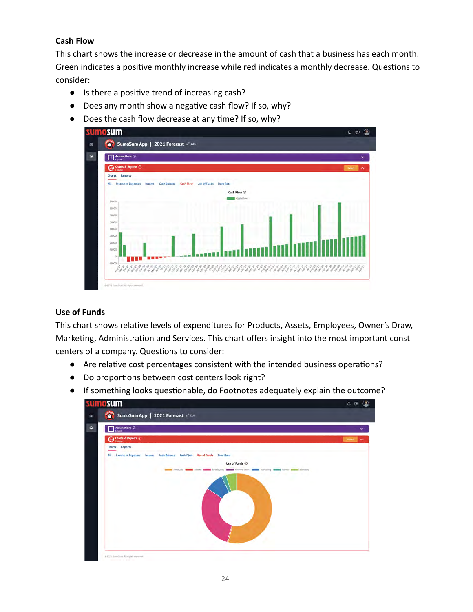#### **Cash Flow**

 This chart shows the increase or decrease in the amount of cash that a business has each month. Green indicates a positive monthly increase while red indicates a monthly decrease. Questions to consider:

- Is there a positive trend of increasing cash?
- Does any month show a negative cash flow? If so, why?
- $\bullet$  Does the cash flow decrease at any time? If so, why?



#### **Use of Funds**

This chart shows relative levels of expenditures for Products, Assets, Employees, Owner's Draw, Marketing, Administration and Services. This chart offers insight into the most important const centers of a company. Questions to consider:

- Are relative cost percentages consistent with the intended business operations?
- Do proportions between cost centers look right?
- If something looks questionable, do Footnotes adequately explain the outcome?

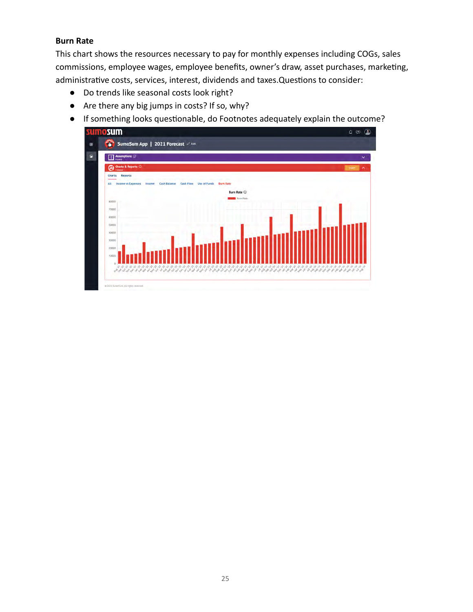#### **Burn Rate**

 This chart shows the resources necessary to pay for monthly expenses including COGs, sales commissions, employee wages, employee benefits, owner's draw, asset purchases, marketing, administrative costs, services, interest, dividends and taxes. Questions to consider:

- Do trends like seasonal costs look right?
- Are there any big jumps in costs? If so, why?
- If something looks questionable, do Footnotes adequately explain the outcome?

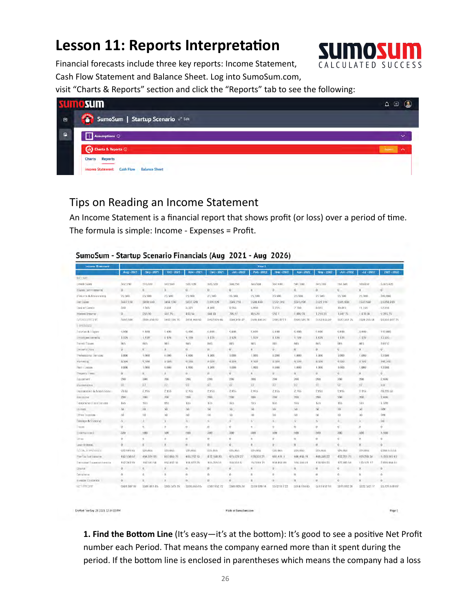### **Lesson 11: Reports Interpretation**



Page 1

 Financial forecasts include three key reports: Income Statement, Cash Flow Statement and Balance Sheet. Log into SumoSum.com,

visit "Charts & Reports" section and click the "Reports" tab to see the following:

|              | <u>ımosum</u>                                                                                          | Θ<br>Δ.            |
|--------------|--------------------------------------------------------------------------------------------------------|--------------------|
| $\bullet$    | SumoSum   Startup Scenario                                                                             |                    |
| $\mathbf{r}$ | Assumptions <sup>(1)</sup>                                                                             | $\checkmark$       |
|              | (di) Charts & Reports ©                                                                                | <b>Export</b><br>ㅅ |
|              | <b>Charts</b><br><b>Reports</b><br><b>Cash Flow</b><br><b>Balance Sheet</b><br><b>Income Statement</b> |                    |

### Tips on Reading an Income Statement

Drafted Tue Sep 28 2021 12:14 00 PM

An Income Statement is a financial report that shows profit (or loss) over a period of time. The formula is simple: Income - Expenses = Profit.

#### SumoSum - Startup Scenario Financials (Aug 2021 - Aug 2026)

| <b>Income Statement</b>      |                | Year 1       |               |                |                |                                                |                  |              |              |              |                         |                       |                |
|------------------------------|----------------|--------------|---------------|----------------|----------------|------------------------------------------------|------------------|--------------|--------------|--------------|-------------------------|-----------------------|----------------|
|                              | Aug - 2021     | Sep - 2021   | Oct - 2021    | Nov - 2021     | Dec - 2021     | $Jm - 2022$                                    | Feb - 2022       | Mar - 2022   | Apc - 2022   | Moy - 2022   | $Jun - 2022$            | $-t = 2022$           | 2021-2022      |
| <b>INCOME</b>                |                |              |               |                |                |                                                |                  |              |              |              |                         |                       |                |
| Green Sales                  | 512.550        | 515, 180     | 519.530       | 523,120        | 525, 520       | 530,250                                        | 533,530          | 537 610      | 541 590      | 545-510      | 551,530                 | 566-8507              | 6 355 420      |
| <b>ISWee Centrifuenorist</b> | ū.             | n            | Ü.            | ū.             | $\Omega$       | $\overline{0}$                                 | $\alpha$         | O.           | 0            | $\Omega$     | $\Omega$                | $\Omega$              | $\overline{0}$ |
| Unforce & Allows certi-      | 25.500         | 25500        | 25 500        | 25.900         | 25 500         | 95 500                                         | 25.500           | 25:500       | 25,500       | 25 500       | 25.500                  | 25 500                | 305,000        |
| <b>Use Sales</b>             | 3407.150       | 3490 (66).   | D494 130      | 5497.520       | $-501.120$     | 5504,750                                       | 5508 430         | 5512.378     | 3510.190     | 3521 110     | \$525,030               | 5530,950              | 55,050,199     |
| Cost of Goods                | 550            | 1505         | 2.3/3         | $-3.221$       | 4.080          | 4.055                                          | 5.850            | 5705.        | 7730         | 8873         | 10.015                  | 11.159                | 57218          |
| Interest Income              | $\alpha$ .     | 265.60       | 335.79        | 459.58         | 584 0B         | 709.97                                         | 03529            | C/VZ I       | 1 000 7k     | 1.218.22     | 134775                  | 1478.34               | 9 285 7%       |
| <b>NUCCEPTION</b>            | Nell 500       | 1480.850.65  | D492, 101 79  | 34'94, 856' 53 | 3497 624 63    | 5500, 154 27                                   | Boos 405 29      | 5505477.4    | ES09.549.74  | IS13:455:22  | ES17-361-75             | ES21-259.34           | 55,032,407.75  |
| TIPENSES                     |                |              |               |                |                |                                                |                  |              |              |              |                         |                       |                |
| Telefield & Support          | 9,400          | 互相自          | 0.400         | 9,486          | 0.400          | 9400.                                          | 0.800            | 0.300        | 6.4001       | 0.400        | 9400                    | 0.400                 | 112,800        |
| monyee Banets                | 1,129          | 1.199        | 1:199         | 1.120          | I 178          | 1,128                                          | 1,120            | 1,320        | 1.199        | 1.128        | 1.128                   | <b>f.178</b>          | 13,334         |
| Payroll Texes                | 845            | $n_{47}$     | nu.           | <b>BAY</b>     | 845            | 846                                            | 846              | 845          | nuv          | 84/5         | 846                     | 845                   | 10152          |
| Limiter's Draw               | $\overline{u}$ | ū.           | ũ.            | ü.             | $\overline{u}$ | U.                                             | $\boldsymbol{0}$ | 0            | ū.           | $\alpha$     | $\overline{\mathbf{u}}$ | 0                     | i0             |
| Philessona Shrivens          | 1,000          | 3,000        | 1,000         | 1,000          | 1,000          | 1.000                                          | 1,000            | 1,000        | 1,000        | 1.000        | 1.000                   | 1.000                 | 12000          |
| <b>Markwring</b>             | 0.530          | 81,5341      | irsut.        | 0.598          | 8538           | 8.530                                          | 8530             | 0.530        | 0.530        | 8.510        | 8530                    | 8.590                 | 102,350        |
| Flent Costale                | 1,000          | 3.7893       | 1,000         | 1,000          | <b>E.000</b>   | 1,000                                          | 1,000            | 1,000        | 1,000        | 1.000        | 1.000                   | 1,000                 | 12000          |
| PRODUCT EXPIRE               | $\mathbf{D}$   | $\mathbf{B}$ | Ü.            | $\mathbf{B}$   | $\mathbf{a}$   | $\,$ 0 $\,$                                    | $\mathbf{0}$     | Ù.           | $\mathbf{u}$ | D.           | $\alpha$                | $\boldsymbol{\Omega}$ | $\alpha$       |
| Enverter                     | $200 -$        | <b>DOM:</b>  | (Kika         | 200            | 200.           | 200                                            | 209              | 000          | 200          | 2988         | 200                     | $200 -$               | 2,409          |
| Maintenance                  | 27             | 27           | 22            | 21             | 27             | $\overline{\mathcal{R}}\overline{\mathcal{E}}$ | 27.              | 97           | 27.          | $22 -$       | 21                      | $2\bar{I}$            | 325            |
| Pepperation & Arrantization  | 7833           | 2.15h        | 21%           | 2.165          | 2198           | 2105                                           | 2.195            | 2,195        | 2.195        | 2.195        | 2155                    | 2.16x                 | 24.223.64      |
| <b>Mille son new</b>         | 2001           | POL          | 2001          | <b>CHIL</b>    | 200            | 200                                            | 200              | 2001         | 200          | 2001         | 200                     | 200                   | 2,400          |
| If domining an and the vice  | 135            | TMG          | IA/a          | <b>BSG</b>     | 165            | Lis                                            | 155              | 135          | Tik5         | 13.0         | 10h                     | 135                   | 1.620          |
| Utilies                      | 60             | $\approx 0$  | 60            | ö0.            | 50             | w                                              | 140.             | MA.          | 1d           | <b>OUT</b>   | 50                      | 50                    | 600            |
| <b>UP 60 HOOURS</b>          | M              | 50           | λü            | AO.            | 50             | 60.                                            | 50               | lai.         | $60 -$       | na.          | 60.                     | 50                    | 600            |
| Policique & Shopping         | ö.             | ×            | $\alpha$      | $\alpha$       | $\Delta$       | $\alpha$                                       | h                | $\Delta$     | G.           | N            | à.                      | A.                    | 60.            |
| 3 4 0 10 11                  | $\sigma$       | U.           | 0             | v              | n              | -0                                             | 0.               | Ù.           | 0            | $\theta$     | v.                      | $\boldsymbol{B}$      | ñ              |
| Enterta control              | 300            | 300          | 500           | 1500           | 300            | 300                                            | 300              | 000          | 1500         | 300          | 380                     | 300                   | 3,500          |
| <b>CTI-Rt</b>                | $\overline{0}$ | <b>VI</b>    | U.            | Ö              | O.             | $\theta$                                       | $\mathbf{B}$     | ö.           | $\mathbf{u}$ | o            | ø                       | $\alpha$              | $\mathcal{D}$  |
| Liven Interest.              | $\alpha$       | $\alpha$     | o.            | $\mathbf{0}$   | D.             | $\ddot{o}$                                     | $\theta$         | 0            | $\alpha$     | $\sigma$     | 0                       | D.                    | $\ddot{o}$     |
| <b>FOTAL ETREMENT</b>        | 222.549.00     | 03% from     | 25,055        | <b>729,000</b> | 62h 066        | \$25,050                                       | \$25,000         | 125 000      | 225,000      | 25.055       | \$25,055                | \$25,055              | \$258,07/038   |
| Pre-Tax (yet lineamer        | 463'558.57     | 4.04.024.05  | 457.035.79    | 469,792.53     | 472 558 83     | 475,428.27                                     | 478,339.29       | 485.411.1    | 484,453.74   | 488,389.22   | 452,295.75              | 405 203 34            | 5,733,012.42   |
| Emmal ed Taxes on tonome.    | 102.242.70     | 102.515.54   | 153,452.53    | 164.427.59     | 155,395.01     | 168/355 S                                      | 157.410.75       | 158,453,851  | 105,559.01   | 170.935.25   | 172,383.61              | 173 571 17            | 2.005.014.00   |
| <b>Ghirld</b>                | 0              | $\alpha$     | o.            | G.             | D.             | $\theta$                                       | $\sigma$         | 0            | $\alpha$     | $\sigma$     | ø                       | D.                    | $\ddot{o}$     |
| Donal or at                  | ō              |              | ö             | <b>B</b>       | D.             | $\ddot{\phantom{0}}$                           | $\Omega$         | ö            | n            | $\alpha$     | 6                       | n                     |                |
| Hyuston Dividende            | o.             | n            | U.            | D.             | D              | $\ddot{o}$                                     | $\mathbf{X}$     | o.           | $\alpha$     | $\Omega$     | o                       | $\overline{\Omega}$   | $\theta$       |
| NET PROFIT                   | 5301.507.931   | 2301 011 05  | (3803 573 26) | 130535515      | (307 152 72)   | <b>5305/028.38</b>                             | S3 10 1000 54    | \$312.917.22 | 1014.914.45  | 0317-952.551 | 7019-99224              | \$322,532.17          | \$5.725 V78 D7 |
|                              |                |              |               |                |                |                                                |                  |              |              |              |                         |                       |                |

**1. Find the Bottom Line** (It's easy—it's at the bottom): It's good to see a positive Net Profit number each Period. That means the company earned more than it spent during the period. If the bottom line is enclosed in parentheses which means the company had a loss

Made at SumpSum.com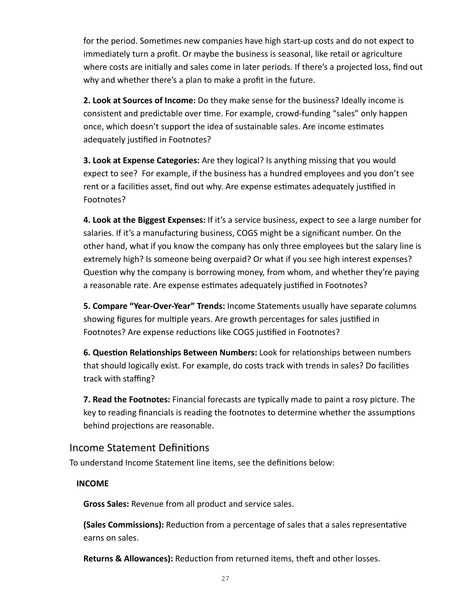for the period. Sometimes new companies have high start-up costs and do not expect to immediately turn a profit. Or maybe the business is seasonal, like retail or agriculture where costs are initially and sales come in later periods. If there's a projected loss, find out why and whether there's a plan to make a profit in the future.

 **2. Look at Sources of Income:** Do they make sense for the business? Ideally income is consistent and predictable over time. For example, crowd-funding "sales" only happen once, which doesn't support the idea of sustainable sales. Are income estimates adequately justified in Footnotes?

 **3. Look at Expense Categories:** Are they logical? Is anything missing that you would expect to see? For example, if the business has a hundred employees and you don't see rent or a facilities asset, find out why. Are expense estimates adequately justified in Footnotes?

 **4. Look at the Biggest Expenses:** If it's a service business, expect to see a large number for salaries. If it's a manufacturing business, COGS might be a significant number. On the other hand, what if you know the company has only three employees but the salary line is extremely high? Is someone being overpaid? Or what if you see high interest expenses? Question why the company is borrowing money, from whom, and whether they're paying a reasonable rate. Are expense estimates adequately justified in Footnotes?

 **5. Compare "Year-Over-Year" Trends:** Income Statements usually have separate columns showing figures for multiple years. Are growth percentages for sales justified in Footnotes? Are expense reductions like COGS justified in Footnotes?

6. Question Relationships Between Numbers: Look for relationships between numbers that should logically exist. For example, do costs track with trends in sales? Do facilities track with staffing?

 **7. Read the Footnotes:** Financial forecasts are typically made to paint a rosy picture. The key to reading financials is reading the footnotes to determine whether the assumptions behind projections are reasonable.

#### Income Statement Definitions

To understand Income Statement line items, see the definitions below:

#### **INCOME**

 **Gross Sales:** Revenue from all product and service sales.

**(Sales Commissions):** Reduction from a percentage of sales that a sales representative earns on sales.

**Returns & Allowances):** Reduction from returned items, theft and other losses.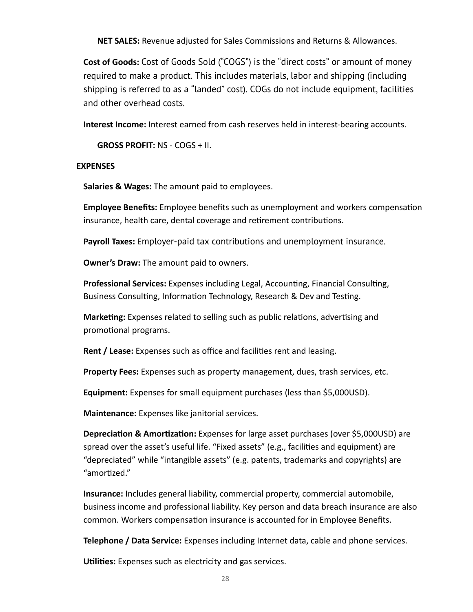**NET SALES:** Revenue adjusted for Sales Commissions and Returns & Allowances.

 **Cost of Goods:** Cost of Goods Sold ("COGS") is the "direct costs" or amount of money required to make a product. This includes materials, labor and shipping (including shipping is referred to as a "landed" cost). COGs do not include equipment, facilities and other overhead costs.

 **Interest Income:** Interest earned from cash reserves held in interest-bearing accounts.

 **GROSS PROFIT:** NS - COGS + II.

#### **EXPENSES**

 **Salaries & Wages:** The amount paid to employees.

**Employee Benefits:** Employee benefits such as unemployment and workers compensation insurance, health care, dental coverage and retirement contributions.

**Payroll Taxes:** Employer-paid tax contributions and unemployment insurance.

 **Owner's Draw:** The amount paid to owners.

**Professional Services:** Expenses including Legal, Accounting, Financial Consulting, Business Consulting, Information Technology, Research & Dev and Testing.

**Marketing:** Expenses related to selling such as public relations, advertising and promotional programs.

**Rent / Lease:** Expenses such as office and facilities rent and leasing.

 **Property Fees:** Expenses such as property management, dues, trash services, etc.

 **Equipment:** Expenses for small equipment purchases (less than \$5,000USD).

 **Maintenance:** Expenses like janitorial services.

**Depreciation & Amortization:** Expenses for large asset purchases (over \$5,000USD) are spread over the asset's useful life. "Fixed assets" (e.g., facilities and equipment) are "depreciated" while "intangible assets" (e.g. patents, trademarks and copyrights) are "amortized."

 **Insurance:** Includes general liability, commercial property, commercial automobile, business income and professional liability. Key person and data breach insurance are also common. Workers compensation insurance is accounted for in Employee Benefits.

 **Telephone / Data Service:** Expenses including Internet data, cable and phone services.

**Utilities:** Expenses such as electricity and gas services.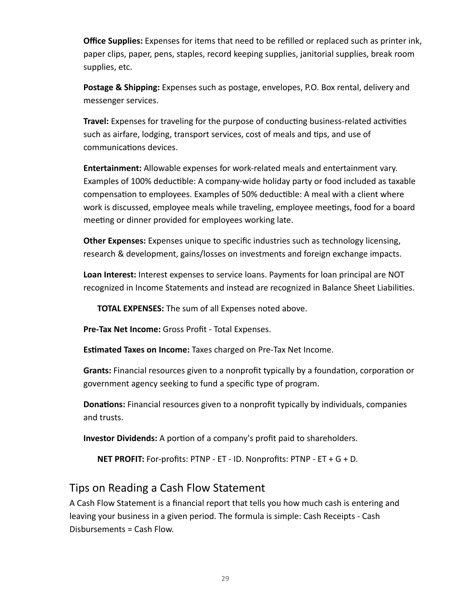**Office Supplies:** Expenses for items that need to be refilled or replaced such as printer ink, paper clips, paper, pens, staples, record keeping supplies, janitorial supplies, break room supplies, etc.

 **Postage & Shipping:** Expenses such as postage, envelopes, P.O. Box rental, delivery and messenger services.

**Travel:** Expenses for traveling for the purpose of conducting business-related activities such as airfare, lodging, transport services, cost of meals and tips, and use of communications devices.

 **Entertainment:** Allowable expenses for work-related meals and entertainment vary. Examples of 100% deductible: A company-wide holiday party or food included as taxable compensation to employees. Examples of 50% deductible: A meal with a client where work is discussed, employee meals while traveling, employee meetings, food for a board meeting or dinner provided for employees working late.

 **Other Expenses:** Expenses unique to specific industries such as technology licensing, research & development, gains/losses on investments and foreign exchange impacts.

 **Loan Interest:** Interest expenses to service loans. Payments for loan principal are NOT recognized in Income Statements and instead are recognized in Balance Sheet Liabilities.

 **TOTAL EXPENSES:** The sum of all Expenses noted above.

 **Pre-Tax Net Income:** Gross Profit - Total Expenses.

**Estimated Taxes on Income:** Taxes charged on Pre-Tax Net Income.

**Grants:** Financial resources given to a nonprofit typically by a foundation, corporation or government agency seeking to fund a specific type of program.

**Donations:** Financial resources given to a nonprofit typically by individuals, companies and trusts.

**Investor Dividends:** A portion of a company's profit paid to shareholders.

 **NET PROFIT:** For-profits: PTNP - ET - ID. Nonprofits: PTNP - ET + G + D.

### Tips on Reading a Cash Flow Statement

 A Cash Flow Statement is a financial report that tells you how much cash is entering and leaving your business in a given period. The formula is simple: Cash Receipts - Cash Disbursements = Cash Flow.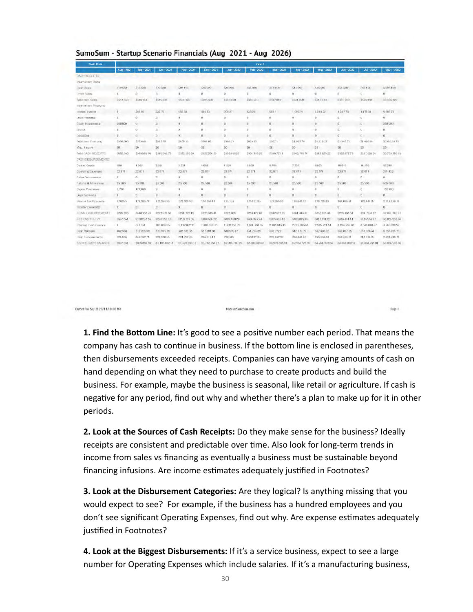| Cash Flow                    | Yutar <sub>1</sub> |                       |                    |                   |                               |                     |                            |                        |               |                   |                    |                    |                     |
|------------------------------|--------------------|-----------------------|--------------------|-------------------|-------------------------------|---------------------|----------------------------|------------------------|---------------|-------------------|--------------------|--------------------|---------------------|
|                              | Aug - 2021         | $500 - 2021$          | $0a - 2021$        | <b>Nov - 2021</b> | Dec - 2021                    | $tan - 2022$        | Pag - 2022                 | Mar - 2022             | Apr - 2022    | $Muy - 2022$      | $Jun - 2022$       | $Jul - 2022$       | $2021 - 2022$       |
| CASTRELEPTIS                 |                    |                       |                    |                   |                               |                     |                            |                        |               |                   |                    |                    |                     |
| <b>Incame from Baies</b>     |                    |                       |                    |                   |                               |                     |                            |                        |               |                   |                    |                    |                     |
| Lest Bales                   | 512,550            | 535,338               | STYZIATE           | 523 120           | S75 620                       | 538,258             | 533,538                    | /817.810               | 511, 650      | 546,610           | 551.530            | (Val 8.60)         | inkers 420          |
| Check States                 |                    |                       | n                  | n                 | n                             | $\Omega$            | $\alpha$                   |                        | Б.            |                   | Ü                  |                    | n.                  |
| Total from Sares             | #512.000           | 8510,330              | 5535/638           | 5523 120          | (535.620)                     | 5538250             | E-223, 123 13              | $+31/310$              | BS11.090      | 5540.019          | $= 157.000$        | <b>Bridge # 50</b> | inchia, 420         |
| toceme from Financing        |                    |                       |                    |                   |                               |                     |                            |                        |               |                   |                    |                    |                     |
| Irriered Income              | O.                 | 255.00                | 335.7%             | 4.56.50           | 504.03                        | 709.27              | R35 2%                     | 562.1                  | 1.009.74      | 1.218.22          | 1.347.75           | 1.478.94           | 9.285.75            |
| Létin Précesca               | o.                 |                       | n                  |                   | $\mathbf{a}$                  | $\mathbf{u}$        | o                          | $\alpha$               | $\mathbf{u}$  |                   | Ü                  |                    | o                   |
| Equity Investments           | 350,000            | W.                    | $_{\rm H}$         | $\mathbf{u}$      | U.                            | $\mathbf{u}$        | $\mathbf{u}$               | $\mathbf{u}$           | $\mathbf{u}$  | <b>U</b>          | 0.                 | $\mathbf{u}$       | 350,000             |
| UNITER.                      | o.                 | $\mathbf{u}$          | n                  | 28                | <b>IY</b>                     | $\mathbf{u}$        | $\mathbf{U}$               | $\alpha$               | x             | $\Omega$          | D.                 | $\mathbf{u}$       | u                   |
| Derivatores                  | $\sigma$           | 0.1                   | D.                 | H.                | 0                             | $\mathbf{U}$        | $\mathbf{u}$               | $\alpha$               | $\mathbf{u}$  | $\alpha$          | $\sigma$           | $\mathbf{u}$       | o.                  |
| Total from Finalneira:       | 53.50,000          | 1205.69               | \$335.76           | 5430.33           | 55M (0)                       | 3700.27             | 5835.20                    | \$562.1                | 31.00974      | 51.218.22         | E1347.75           | 31.47834           | 5354 285 75         |
| Misc. Iragme                 | EO.                | 30                    | 30                 | $50 -$            | 50                            | 30 <sub>1</sub>     | 50                         | 50                     | 30            | 15.01             | EO.                | 30                 | 10                  |
| TWA CASH RECEIPTS.           | 5852.650           | 8515,305 UQ           | \$510,068.70       | 3523-570-53       | 5527,204 03                   | 3530/050 27         | 5634.755.20                | E538 772 L             | E542.779.74   | 8547-828-22       | ESG2-B77.75        | 3557 928 34        | 55 755, 705 75      |
| CASH DISBUREEMENTS           |                    |                       |                    |                   |                               |                     |                            |                        |               |                   |                    |                    |                     |
| Cost of Gootis               | 850                | 1505                  | 2354               | 3.221             | 1080                          | 4 955               | 5.850                      | <b>B.795</b>           | 7.750         | 8.873             | 10015              | 11 159             | 57.210              |
| Coerating Experience         | 22.871             | $-22.871$             | 22.871             | 22.671            | 22.871                        | 22.871              | 22.871                     | 22.871                 | 22.871        | 22.871            | 22.871             | 22.871             | 274.452             |
| Sales Commitesoris           | $\Omega$           | $\Omega$              | TT.                | $\Omega$          | n.                            | $\alpha$            | b.                         | $\Omega$               | n.            | $\Omega$          | n                  | n.                 | ū.                  |
| Flatunes & Allminineses      | 25.500             | 25.500                | 25,500             | 25 500            | 25.500                        | 25,500              | 25.500                     | 25.500                 | 25,500        | 25.500            | 25,500             | 25,500             | 305,000             |
| Design Pontriesee            | 5.700              | 127,000               | W.                 |                   |                               |                     | o                          |                        | a             |                   |                    |                    | 132,780             |
| Liven Payments               | $\bf{0}$           | $\sigma$              | w.                 | $\Omega$          | n.                            | W                   | O.                         | n                      | o             | o                 | b                  | w                  | o.                  |
| freemd Tax Palmerts          | 170.275            | 171,285.74            | 172.266.95         | 173,200,49        | 174.168.41                    | 175.175             | 175, 191, 85               | 177,265.55             | 17634241      | T /5, /Ef9 33     | <b>F61, U75 61</b> | 182,444.27         | 2.131, 870.31       |
| frikestor Clivicendal        | 13                 | 0                     | n.                 | n                 | D.                            | $\mathbf{U}$        | $\Box$                     | B.                     | o             | $\Omega$          | U.                 | $\overline{0}$     | $\alpha$            |
| THIT ALL E ESSELIPESHATENTIS | \$224,995          | 534836274             | 822297863          | 5221 792 19       | (225 516 81)                  | <b>E228 NOV</b>     | \$230,122.85               | E232 432 00            | 5234 443 41   | 8235 953 33       | 5239:463.61        | 8311974.27         | 52.891.74 D.P.L.    |
| NET CASH FLCV2               | Six37.6pd          | 3168 23.2 %           | 525/6 fin3 E6      | E208 787 85       | 380 581 N2                    | 5382450.28          | 5304.342.44                | 530533932              | 5388.334.33   | 5318 874 89       | 5313 414 14        | 5315.954.07        | 53, 865, 976 OK     |
| <b>Ebeling Cash Balance</b>  |                    | FS3 7 Fi54            | <b>SEB SBITTI5</b> | 1 192 282 11      | 1:481 555 15.                 | 1, 802, 255, 77     | 2,000, 700, 85             | 200904549              | 2.515.385.51  | 2.523 721.54      | 3, 294, 566, 83    | 3.548.010.57       | 3 518 mm 97         |
| Cad: Receipte                | 352,660            | 515,355.00            | 519, 095.70        | 523, 579, 53      | 527.204 03                    | 530,650.97          | 534.705.20                 | 538,772.1              | 542,779.74    | 547,828.22        | 552.877.75         | 557.628.34         | 5.755.705.76        |
| Client Coppures manufacts    | 224, 006           | 348 152 74            | 222, 670 63        | 224.702.45        | 225.519.41                    | 228, 509            | 230,422.86                 | 232-432.99             | 234.443.41    | 235, 553, 33      | 23 6 4 63 61       | 241 674 27         | 2.891.748.71        |
| EXPANY, PASSAGE MACHINE      | <b>WIND PULLS</b>  | <b>DOES WITH CALL</b> | 81.103.993.13      |                   | SALARY AND LO  BL TIVE THY TV | ALC: UNIVERSITY AND | <b>BO BRIDGE AVAILABLE</b> | <b>IPE WER SERVICE</b> | 80 ESS 701 GA | 10 S. 214, GUN 97 | THE SAMPTANTED CO. | ALL MAIN GOVE AVE  | ica mere itanis cui |

#### SumoSum - Startup Scenario Financials (Aug 2021 - Aug 2026)

Drafted Twe Sep 28 2021 12:14:00 PM

**1. Find the Bottom Line:** It's good to see a positive number each period. That means the company has cash to continue in business. If the bottom line is enclosed in parentheses, then disbursements exceeded receipts. Companies can have varying amounts of cash on hand depending on what they need to purchase to create products and build the business. For example, maybe the business is seasonal, like retail or agriculture. If cash is negative for any period, find out why and whether there's a plan to make up for it in other periods.

Page 4

Made at SempSom.com

 **2. Look at the Sources of Cash Receipts:** Do they make sense for the business? Ideally receipts are consistent and predictable over time. Also look for long-term trends in income from sales vs financing as eventually a business must be sustainable beyond financing infusions. Are income estimates adequately justified in Footnotes?

 **3. Look at the Disbursement Categories:** Are they logical? Is anything missing that you would expect to see? For example, if the business has a hundred employees and you don't see significant Operating Expenses, find out why. Are expense estimates adequately justified in Footnotes?

 **4. Look at the Biggest Disbursements:** If it's a service business, expect to see a large number for Operating Expenses which include salaries. If it's a manufacturing business,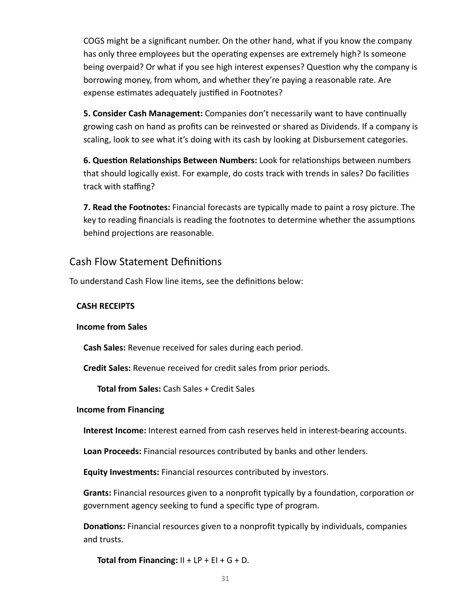COGS might be a significant number. On the other hand, what if you know the company has only three employees but the operating expenses are extremely high? Is someone being overpaid? Or what if you see high interest expenses? Question why the company is borrowing money, from whom, and whether they're paying a reasonable rate. Are expense estimates adequately justified in Footnotes?

**5. Consider Cash Management:** Companies don't necessarily want to have continually growing cash on hand as profits can be reinvested or shared as Dividends. If a company is scaling, look to see what it's doing with its cash by looking at Disbursement categories.

**6. Question Relationships Between Numbers:** Look for relationships between numbers that should logically exist. For example, do costs track with trends in sales? Do facilies track with staffing?

 **7. Read the Footnotes:** Financial forecasts are typically made to paint a rosy picture. The key to reading financials is reading the footnotes to determine whether the assumptions behind projections are reasonable.

### Cash Flow Statement Definitions

To understand Cash Flow line items, see the definitions below:

#### **CASH RECEIPTS**

#### **Income from Sales**

 **Cash Sales:** Revenue received for sales during each period.

 **Credit Sales:** Revenue received for credit sales from prior periods.

 **Total from Sales:** Cash Sales + Credit Sales

#### **Income from Financing**

 **Interest Income:** Interest earned from cash reserves held in interest-bearing accounts.

 **Loan Proceeds:** Financial resources contributed by banks and other lenders.

 **Equity Investments:** Financial resources contributed by investors.

**Grants:** Financial resources given to a nonprofit typically by a foundation, corporation or government agency seeking to fund a specific type of program.

**Donations:** Financial resources given to a nonprofit typically by individuals, companies and trusts.

 **Total from Financing:**  $II + LP + EI + G + D$ .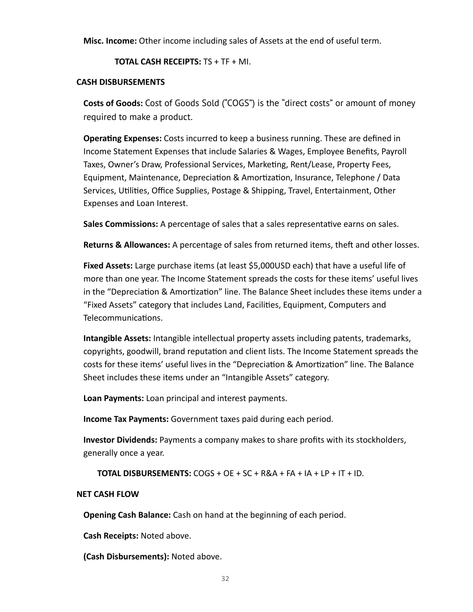**Misc. Income:** Other income including sales of Assets at the end of useful term.

 **TOTAL CASH RECEIPTS:** TS + TF + MI.

#### **CASH DISBURSEMENTS**

 **Costs of Goods:** Cost of Goods Sold ("COGS") is the "direct costs" or amount of money required to make a product.

**Operating Expenses:** Costs incurred to keep a business running. These are defined in Income Statement Expenses that include Salaries & Wages, Employee Benefits, Payroll Taxes, Owner's Draw, Professional Services, Marketing, Rent/Lease, Property Fees, Equipment, Maintenance, Depreciation & Amortization, Insurance, Telephone / Data Services, Utilities, Office Supplies, Postage & Shipping, Travel, Entertainment, Other Expenses and Loan Interest.

**Sales Commissions:** A percentage of sales that a sales representative earns on sales.

**Returns & Allowances:** A percentage of sales from returned items, theft and other losses.

 **Fixed Assets:** Large purchase items (at least \$5,000USD each) that have a useful life of more than one year. The Income Statement spreads the costs for these items' useful lives in the "Depreciation & Amortization" line. The Balance Sheet includes these items under a "Fixed Assets" category that includes Land, Facilities, Equipment, Computers and Telecommunications.

 **Intangible Assets:** Intangible intellectual property assets including patents, trademarks, copyrights, goodwill, brand reputation and client lists. The Income Statement spreads the costs for these items' useful lives in the "Depreciation & Amortization" line. The Balance Sheet includes these items under an "Intangible Assets" category.

 **Loan Payments:** Loan principal and interest payments.

 **Income Tax Payments:** Government taxes paid during each period.

 **Investor Dividends:** Payments a company makes to share profits with its stockholders, generally once a year.

 **TOTAL DISBURSEMENTS:** COGS + OE + SC + R&A + FA + IA + LP + IT + ID.

#### **NET CASH FLOW**

 **Opening Cash Balance:** Cash on hand at the beginning of each period.

 **Cash Receipts:** Noted above.

 **(Cash Disbursements):** Noted above.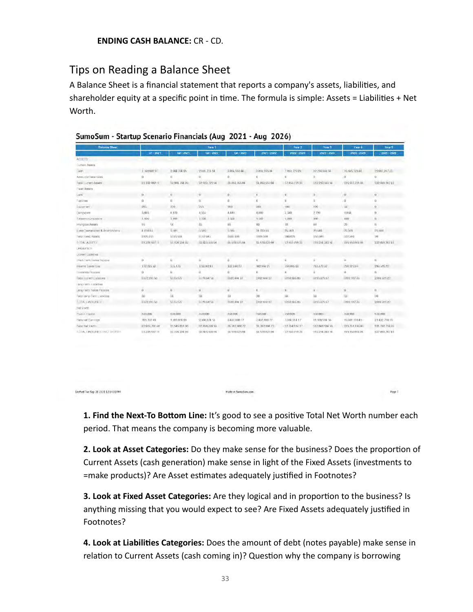### Tips on Reading a Balance Sheet

A Balance Sheet is a financial statement that reports a company's assets, liabilities, and shareholder equity at a specific point in time. The formula is simple: Assets = Liabilities + Net Worth.

SumoSum - Startup Scenario Financials (Aug 2021 - Aug 2026)

| <b>Balance Sheet</b>                  |                 |                 | Year 1                  |                  | Year <sub>2</sub>   | Year 3           | Year-4          | Year 5           |                         |
|---------------------------------------|-----------------|-----------------|-------------------------|------------------|---------------------|------------------|-----------------|------------------|-------------------------|
|                                       | $Q1 - 2021$     | $02 - 3021$     | 03-2022                 | 04-2022          | $2021 - 2022$       | 2022 - 2023      | 2023 - 2024     | 2024-2025        | 2025 - 2025             |
| <b>ACCETS</b>                         |                 |                 |                         |                  |                     |                  |                 |                  |                         |
| <b>Eurrers Assets</b>                 |                 |                 |                         |                  |                     |                  |                 |                  |                         |
| <b>Card</b> <sup>1</sup>              | 110288211       | 2.004.704.05    | 2.923.721.94            | 3 863 955 04     | 3 853 555 84        | 7.853 779 23     | 12 210 883 94   | 16:935.723.81    | 22.051.247.41           |
| Accounts (Jece village)               | ū               | n               | O.                      | Ü.               | $\ddot{\mathbf{0}}$ | ū.               | B.              | i0               | $\mathbf{0}$            |
| Total Lumers Assets                   | 11 102 882 11   | 32.004.704.05   | 32 923 721 94           | 53 863, 955 04   | EQ (RAS SP2) D4     | 17 853 779 23    | 512.210.033.94  | 116 93 5 7 23 81 | 522 031 247 81          |
| Tweet Assets                          |                 |                 |                         |                  |                     |                  |                 |                  |                         |
| Lung                                  | ū               | W.              | m.                      | o.               | $\mathbf{0}$        | n.               | n.              | a.               | $\Omega$                |
| <b>TVC-TVS</b>                        | ũ.              | n               | D.                      | o                | $\ddot{\mathbf{0}}$ | D.               | ū               | a                | ū                       |
| Equprem                               | 205             | 270             | 256                     | 940              | 240                 | 180              | 120             | 60               | $\Omega$                |
| Computers                             | 5085            | $+370$          | 4,765                   | 4.440            | 4,440               | 3.500            | 2790            | 1,850            | n.                      |
| Tweetermunications:                   | 1,500           | 3,000           | 1/00                    | 3, 600.          | 1,000               | 4,200            | (a)             | 400              | W.                      |
| Intercisie Assets                     | isi.            | GT.             | äù.                     | iii)             | 10                  | 30               | 40              | $20 -$           | $\overline{\mathbf{u}}$ |
| a em Depreciano & Americanona         | <b>A 4581V)</b> | 5.5lin          | $-296$                  | 0.9kg            | 24,023,33           | 25:340           | 29340.          | 26360            | 25:40.                  |
| TWAI FIXED ASSIST                     | 8126115         | <b>LISO GAL</b> | 1112.945                | Alus val         | 3105 560            | \$80,099         | <b>DOM IN</b>   | 277.340          | 10                      |
| T/TALA/SETS                           | 11:228 99733    | 19.124-234 Bar  | 33,030,000 SK           | ila ozirazionia  | 35,970,325.00       | \$7,933,799.23   | 139 254 343 94  | EDS 953, Bras BA | 122 031 24 / 11         |
| <b>MALITICS</b>                       |                 |                 |                         |                  |                     |                  |                 |                  |                         |
| Licenset Lightbles                    |                 |                 |                         |                  |                     |                  |                 |                  |                         |
| illhort-Tenm Troons Polymie           | $\Omega$        | ü.              | $\overline{\mathbf{H}}$ | ü                | $\Omega$            | ŭ                | ü               | $\mathbf{u}$     | $\overline{\mathbf{u}}$ |
| <b>Internet Learner Liste</b>         | 172.235 (a)     | 376,476         | 178342.41               | 110.44421        | 182114.27           | 150.885.01       | PEGA79 87       | 23152734         | 248.520.22              |
| To experience Presence in             | а               | n.              | ö                       | D.               | B                   | $\overline{u}$   | $\mathbf{u}$    | a                | $\mathbf{R}$            |
| Total Licensen Luxbankee              | F172.235.00     | 0.75.175        | 117834241               | E182,444.27      | 3182.444.27         | 5198.685.01      | #210.479.07     | 5231,527-35      | 1248.620.2              |
| L'OPEPTI DETO ASSISTANTE              |                 |                 |                         |                  |                     |                  |                 |                  |                         |
| Leng-Term Mobile Pannice              | а               | 0               | ò.                      | ū.               | $\mathbf{n}$        | ú.               | ù.              | $\Omega$         | $\mathbf{B}$            |
| The at-Langi-Them Ludwigow            | m               | iù.             | 541                     | <b>In</b>        | 50                  | <b>JAX</b>       | la              | U.               | 10                      |
| LOW UNKINES                           | \$172,235.00    | 13.75.175       | 117834241               | 3182,444.27      | 3182444.27          | $-0.190$ 65 6 65 | 871047937       | 231,527.30       | 1200.620.07             |
| 2448 Scratts)                         |                 |                 |                         |                  |                     |                  |                 |                  |                         |
| Parent Capital                        | 350,000         | 356,000         | 350,000                 | 350,000          | 350,000             | 350,000          | 350,000         | 350,000          | 350,000                 |
| Helened Eeroops                       | 709 751 48      | 1.585.051.05    | $2.508, 3.24$ 53        | $0.437,880$ $77$ | 3,437,886 77        | 7.384.914 17     | 11.698,534.56   | 15:381.13545     | 21.432.718.19           |
| Total Net Yardh                       | E1 055.751.40   | 21.549.051.06   | 22 858 324 53           | 33, 707, 660, 77 | 33, 707, 800 77     | 17.734.914 17    | 512.04.0.934.56 | 115701.13545     | 321.782.718.19          |
| <b>LITAL LIABILITIES (NILL WORTH)</b> | ET.228.55/71    | 32.124.234.05   | \$3,035,000.54          | 33 970 325 04    | 53.978325.04        | \$7,933,719.23   | 512.254.313.54  | #15.953.0/33.81  | 222 031 24 / 81         |

Staffed Tue Sep 28 2021 12:1400 PM

**1. Find the Next-To Bottom Line:** It's good to see a positive Total Net Worth number each period. That means the company is becoming more valuable.

Page II

Made at SumoSum.com

**2. Look at Asset Categories:** Do they make sense for the business? Does the proportion of Current Assets (cash generation) make sense in light of the Fixed Assets (investments to =make products)? Are Asset estimates adequately justified in Footnotes?

**3. Look at Fixed Asset Categories:** Are they logical and in proportion to the business? Is anything missing that you would expect to see? Are Fixed Assets adequately jusfied in Footnotes?

 **4. Look at Liabilies Categories:** Does the amount of debt (notes payable) make sense in relation to Current Assets (cash coming in)? Question why the company is borrowing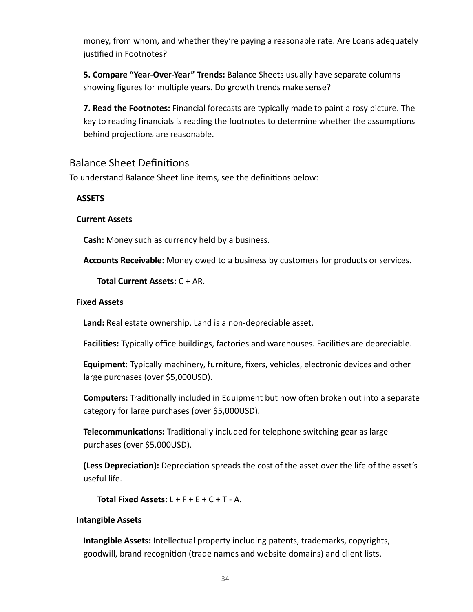money, from whom, and whether they're paying a reasonable rate. Are Loans adequately jusfied in Footnotes?

 **5. Compare "Year-Over-Year" Trends:** Balance Sheets usually have separate columns showing figures for multiple years. Do growth trends make sense?

 **7. Read the Footnotes:** Financial forecasts are typically made to paint a rosy picture. The key to reading financials is reading the footnotes to determine whether the assumptions behind projections are reasonable.

#### **Balance Sheet Definitions**

To understand Balance Sheet line items, see the definitions below:

#### **ASSETS**

#### **Current Assets**

 **Cash:** Money such as currency held by a business.

 **Accounts Receivable:** Money owed to a business by customers for products or services.

 **Total Current Assets:** C + AR.

#### **Fixed Assets**

 **Land:** Real estate ownership. Land is a non-depreciable asset.

Facilities: Typically office buildings, factories and warehouses. Facilities are depreciable.

 **Equipment:** Typically machinery, furniture, fixers, vehicles, electronic devices and other large purchases (over \$5,000USD).

**Computers:** Traditionally included in Equipment but now often broken out into a separate category for large purchases (over \$5,000USD).

**Telecommunications:** Traditionally included for telephone switching gear as large purchases (over \$5,000USD).

**(Less Depreciation):** Depreciation spreads the cost of the asset over the life of the asset's useful life.

 **Total Fixed Assets:** L + F + E + C + T - A.

#### **Intangible Assets**

 **Intangible Assets:** Intellectual property including patents, trademarks, copyrights, goodwill, brand recognition (trade names and website domains) and client lists.